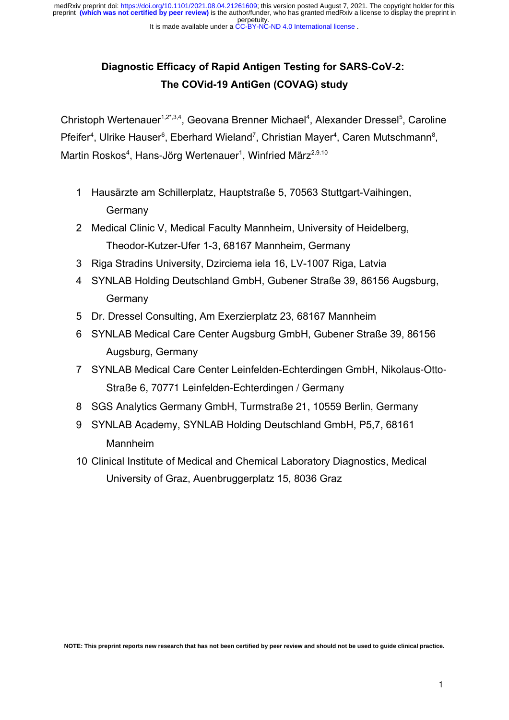It is made available under a [CC-BY-NC-ND 4.0 International license](http://creativecommons.org/licenses/by-nc-nd/4.0/) . perpetuity. preprint **(which was not certified by peer review)** is the author/funder, who has granted medRxiv a license to display the preprint in medRxiv preprint doi: [https://doi.org/10.1101/2021.08.04.21261609;](https://doi.org/10.1101/2021.08.04.21261609) this version posted August 7, 2021. The copyright holder for this

# **Diagnostic Efficacy of Rapid Antigen Testing for SARS-CoV-2: The COVid-19 AntiGen (COVAG) study**

Christoph Wertenauer<sup>1,2\*,3,4</sup>, Geovana Brenner Michael<sup>4</sup>, Alexander Dressel<sup>5</sup>, Caroline Pfeifer<sup>4</sup>, Ulrike Hauser<sup>6</sup>, Eberhard Wieland<sup>7</sup>, Christian Mayer<sup>4</sup>, Caren Mutschmann<sup>8</sup>, Martin Roskos<sup>4</sup>, Hans-Jörg Wertenauer<sup>1</sup>, Winfried März<sup>2.9.10</sup>

- 1 Hausärzte am Schillerplatz, Hauptstraße 5, 70563 Stuttgart-Vaihingen, **Germany**
- 2 Medical Clinic V, Medical Faculty Mannheim, University of Heidelberg, Theodor-Kutzer-Ufer 1-3, 68167 Mannheim, Germany
- 3 Riga Stradins University, Dzirciema iela 16, LV-1007 Riga, Latvia
- 4 SYNLAB Holding Deutschland GmbH, Gubener Straße 39, 86156 Augsburg, Germany
- 5 Dr. Dressel Consulting, Am Exerzierplatz 23, 68167 Mannheim
- 6 SYNLAB Medical Care Center Augsburg GmbH, Gubener Straße 39, 86156 Augsburg, Germany
- 7 SYNLAB Medical Care Center Leinfelden-Echterdingen GmbH, Nikolaus-Otto-Straße 6, 70771 Leinfelden-Echterdingen / Germany
- 8 SGS Analytics Germany GmbH, Turmstraße 21, 10559 Berlin, Germany
- 9 SYNLAB Academy, SYNLAB Holding Deutschland GmbH, P5,7, 68161 Mannheim
- 10 Clinical Institute of Medical and Chemical Laboratory Diagnostics, Medical University of Graz, Auenbruggerplatz 15, 8036 Graz

**NOTE: This preprint reports new research that has not been certified by peer review and should not be used to guide clinical practice.**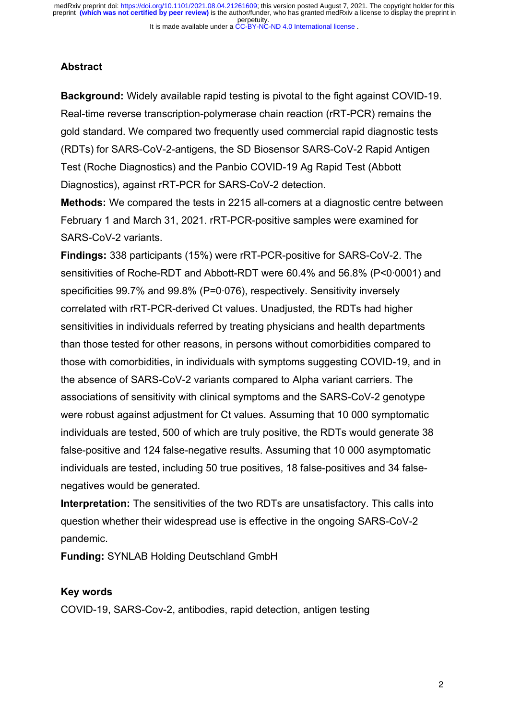## **Abstract**

**Background:** Widely available rapid testing is pivotal to the fight against COVID-19. Real-time reverse transcription-polymerase chain reaction (rRT-PCR) remains the gold standard. We compared two frequently used commercial rapid diagnostic tests (RDTs) for SARS-CoV-2-antigens, the SD Biosensor SARS-CoV-2 Rapid Antigen Test (Roche Diagnostics) and the Panbio COVID-19 Ag Rapid Test (Abbott Diagnostics), against rRT-PCR for SARS-CoV-2 detection.

**Methods:** We compared the tests in 2215 all-comers at a diagnostic centre between February 1 and March 31, 2021. rRT-PCR-positive samples were examined for SARS-CoV-2 variants.

**Findings:** 338 participants (15%) were rRT-PCR-positive for SARS-CoV-2. The sensitivities of Roche-RDT and Abbott-RDT were 60.4% and 56.8% (P<0·0001) and specificities 99.7% and 99.8% (P=0·076), respectively. Sensitivity inversely correlated with rRT-PCR-derived Ct values. Unadjusted, the RDTs had higher sensitivities in individuals referred by treating physicians and health departments than those tested for other reasons, in persons without comorbidities compared to those with comorbidities, in individuals with symptoms suggesting COVID-19, and in the absence of SARS-CoV-2 variants compared to Alpha variant carriers. The associations of sensitivity with clinical symptoms and the SARS-CoV-2 genotype were robust against adjustment for Ct values. Assuming that 10 000 symptomatic individuals are tested, 500 of which are truly positive, the RDTs would generate 38 false-positive and 124 false-negative results. Assuming that 10 000 asymptomatic individuals are tested, including 50 true positives, 18 false-positives and 34 falsenegatives would be generated.

**Interpretation:** The sensitivities of the two RDTs are unsatisfactory. This calls into question whether their widespread use is effective in the ongoing SARS-CoV-2 pandemic.

**Funding:** SYNLAB Holding Deutschland GmbH

#### **Key words**

COVID-19, SARS-Cov-2, antibodies, rapid detection, antigen testing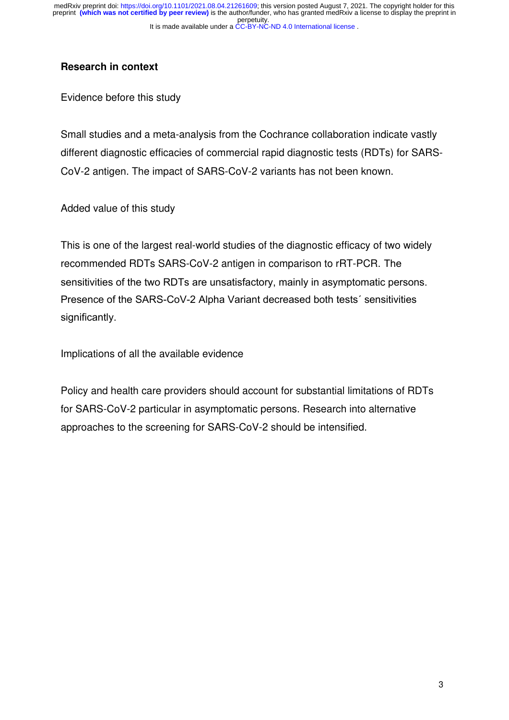### **Research in context**

Evidence before this study

Small studies and a meta-analysis from the Cochrance collaboration indicate vastly different diagnostic efficacies of commercial rapid diagnostic tests (RDTs) for SARS-CoV-2 antigen. The impact of SARS-CoV-2 variants has not been known.

Added value of this study

This is one of the largest real-world studies of the diagnostic efficacy of two widely recommended RDTs SARS-CoV-2 antigen in comparison to rRT-PCR. The sensitivities of the two RDTs are unsatisfactory, mainly in asymptomatic persons. Presence of the SARS-CoV-2 Alpha Variant decreased both tests´ sensitivities significantly.

Implications of all the available evidence

Policy and health care providers should account for substantial limitations of RDTs for SARS-CoV-2 particular in asymptomatic persons. Research into alternative approaches to the screening for SARS-CoV-2 should be intensified.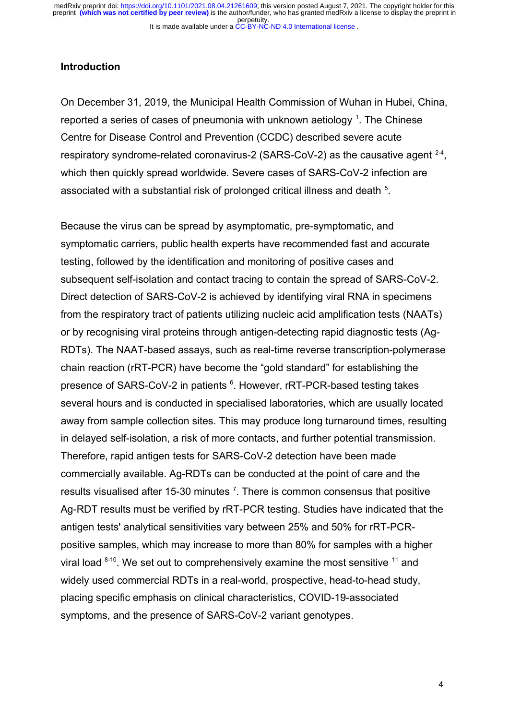#### **Introduction**

On December 31, 2019, the Municipal Health Commission of Wuhan in Hubei, China, reported a series of cases of pneumonia with unknown aetiology  $1$ . The Chinese Centre for Disease Control and Prevention (CCDC) described severe acute respiratory syndrome-related coronavirus-2 (SARS-CoV-2) as the causative agent  $2-4$ , which then quickly spread worldwide. Severe cases of SARS-CoV-2 infection are associated with a substantial risk of prolonged critical illness and death  $5$ .

Because the virus can be spread by asymptomatic, pre-symptomatic, and symptomatic carriers, public health experts have recommended fast and accurate testing, followed by the identification and monitoring of positive cases and subsequent self-isolation and contact tracing to contain the spread of SARS-CoV-2. Direct detection of SARS-CoV-2 is achieved by identifying viral RNA in specimens from the respiratory tract of patients utilizing nucleic acid amplification tests (NAATs) or by recognising viral proteins through antigen-detecting rapid diagnostic tests (Ag-RDTs). The NAAT-based assays, such as real-time reverse transcription-polymerase chain reaction (rRT-PCR) have become the "gold standard" for establishing the presence of SARS-CoV-2 in patients <sup>6</sup>. However, rRT-PCR-based testing takes several hours and is conducted in specialised laboratories, which are usually located away from sample collection sites. This may produce long turnaround times, resulting in delayed self-isolation, a risk of more contacts, and further potential transmission. Therefore, rapid antigen tests for SARS-CoV-2 detection have been made commercially available. Ag-RDTs can be conducted at the point of care and the results visualised after 15-30 minutes  $<sup>7</sup>$ . There is common consensus that positive</sup> Ag-RDT results must be verified by rRT-PCR testing. Studies have indicated that the antigen tests' analytical sensitivities vary between 25% and 50% for rRT-PCRpositive samples, which may increase to more than 80% for samples with a higher viral load  $8-10$ . We set out to comprehensively examine the most sensitive  $11$  and widely used commercial RDTs in a real-world, prospective, head-to-head study, placing specific emphasis on clinical characteristics, COVID-19-associated symptoms, and the presence of SARS-CoV-2 variant genotypes.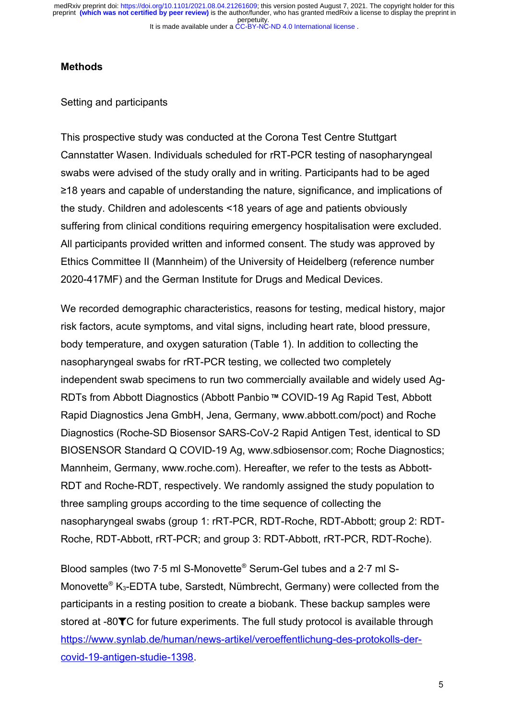### **Methods**

#### Setting and participants

This prospective study was conducted at the Corona Test Centre Stuttgart Cannstatter Wasen. Individuals scheduled for rRT-PCR testing of nasopharyngeal swabs were advised of the study orally and in writing. Participants had to be aged ≥18 years and capable of understanding the nature, significance, and implications of the study. Children and adolescents <18 years of age and patients obviously suffering from clinical conditions requiring emergency hospitalisation were excluded. All participants provided written and informed consent. The study was approved by Ethics Committee II (Mannheim) of the University of Heidelberg (reference number 2020-417MF) and the German Institute for Drugs and Medical Devices.

We recorded demographic characteristics, reasons for testing, medical history, major risk factors, acute symptoms, and vital signs, including heart rate, blood pressure, body temperature, and oxygen saturation (Table 1). In addition to collecting the nasopharyngeal swabs for rRT-PCR testing, we collected two completely independent swab specimens to run two commercially available and widely used Ag-RDTs from Abbott Diagnostics (Abbott Panbio <sup>™</sup> COVID-19 Ag Rapid Test, Abbott Rapid Diagnostics Jena GmbH, Jena, Germany, www.abbott.com/poct) and Roche Diagnostics (Roche-SD Biosensor SARS-CoV-2 Rapid Antigen Test, identical to SD BIOSENSOR Standard Q COVID-19 Ag, www.sdbiosensor.com; Roche Diagnostics; Mannheim, Germany, www.roche.com). Hereafter, we refer to the tests as Abbott-RDT and Roche-RDT, respectively. We randomly assigned the study population to three sampling groups according to the time sequence of collecting the nasopharyngeal swabs (group 1: rRT-PCR, RDT-Roche, RDT-Abbott; group 2: RDT-Roche, RDT-Abbott, rRT-PCR; and group 3: RDT-Abbott, rRT-PCR, RDT-Roche).

Blood samples (two 7.5 ml S-Monovette® Serum-Gel tubes and a 2.7 ml S-Monovette<sup>®</sup> K<sub>3</sub>-EDTA tube, Sarstedt, Nümbrecht, Germany) were collected from the participants in a resting position to create a biobank. These backup samples were stored at  $-80\blacktriangledown C$  for future experiments. The full study protocol is available through [https://www.synlab.de/human/news-artikel/veroeffentlichung-des-protokolls-der](https://www.synlab.de/human/news-artikel/veroeffentlichung-des-protokolls-der-covid-19-antigen-studie-1398)[covid-19-antigen-studie-1398](https://www.synlab.de/human/news-artikel/veroeffentlichung-des-protokolls-der-covid-19-antigen-studie-1398).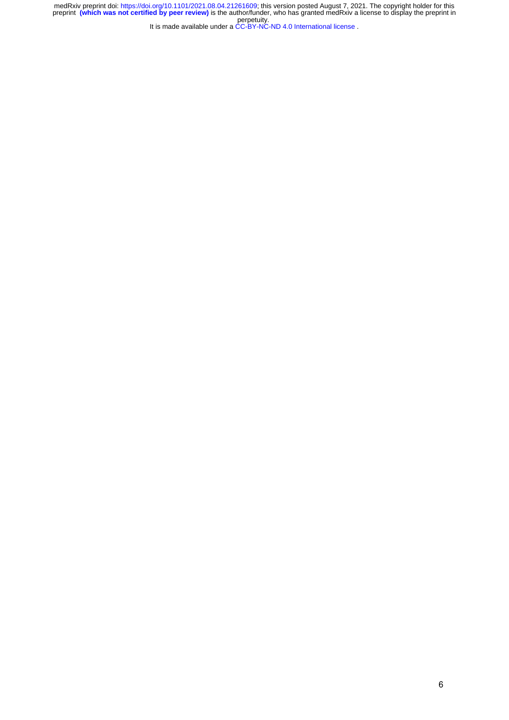perpetuity. medRxiv preprint doi: [https://doi.org/10.1101/2021.08.04.21261609;](https://doi.org/10.1101/2021.08.04.21261609) this version posted August 7, 2021. The copyright holder for this<br>preprint (which was not certified by peer review) is the author/funder, who has granted m

It is made available under a [CC-BY-NC-ND 4.0 International license](http://creativecommons.org/licenses/by-nc-nd/4.0/) .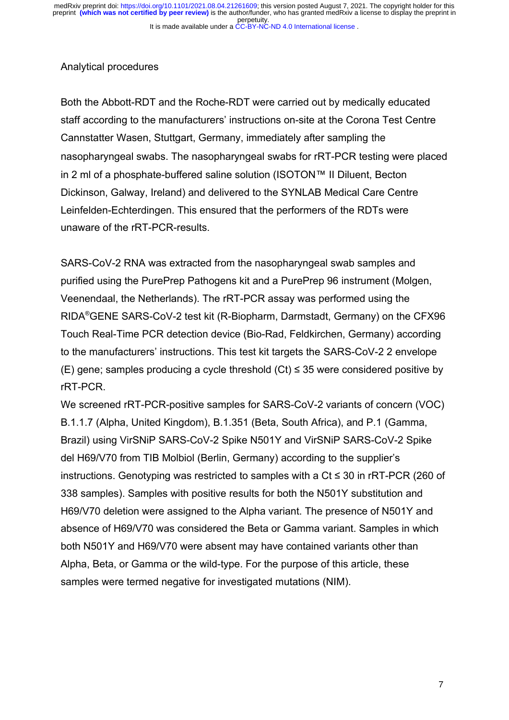#### Analytical procedures

Both the Abbott-RDT and the Roche-RDT were carried out by medically educated staff according to the manufacturers' instructions on-site at the Corona Test Centre Cannstatter Wasen, Stuttgart, Germany, immediately after sampling the nasopharyngeal swabs. The nasopharyngeal swabs for rRT-PCR testing were placed in 2 ml of a phosphate-buffered saline solution (ISOTON™ II Diluent, Becton Dickinson, Galway, Ireland) and delivered to the SYNLAB Medical Care Centre Leinfelden-Echterdingen. This ensured that the performers of the RDTs were unaware of the rRT-PCR-results.

SARS-CoV-2 RNA was extracted from the nasopharyngeal swab samples and purified using the PurePrep Pathogens kit and a PurePrep 96 instrument (Molgen, Veenendaal, the Netherlands). The rRT-PCR assay was performed using the RIDA®GENE SARS-CoV-2 test kit (R-Biopharm, Darmstadt, Germany) on the CFX96 Touch Real-Time PCR detection device (Bio-Rad, Feldkirchen, Germany) according to the manufacturers' instructions. This test kit targets the SARS-CoV-2 2 envelope (E) gene; samples producing a cycle threshold (Ct)  $\leq$  35 were considered positive by rRT-PCR.

We screened rRT-PCR-positive samples for SARS-CoV-2 variants of concern (VOC) B.1.1.7 (Alpha, United Kingdom), B.1.351 (Beta, South Africa), and P.1 (Gamma, Brazil) using VirSNiP SARS-CoV-2 Spike N501Y and VirSNiP SARS-CoV-2 Spike del H69/V70 from TIB Molbiol (Berlin, Germany) according to the supplier's instructions. Genotyping was restricted to samples with a  $Ct \leq 30$  in rRT-PCR (260 of 338 samples). Samples with positive results for both the N501Y substitution and H69/V70 deletion were assigned to the Alpha variant. The presence of N501Y and absence of H69/V70 was considered the Beta or Gamma variant. Samples in which both N501Y and H69/V70 were absent may have contained variants other than Alpha, Beta, or Gamma or the wild-type. For the purpose of this article, these samples were termed negative for investigated mutations (NIM).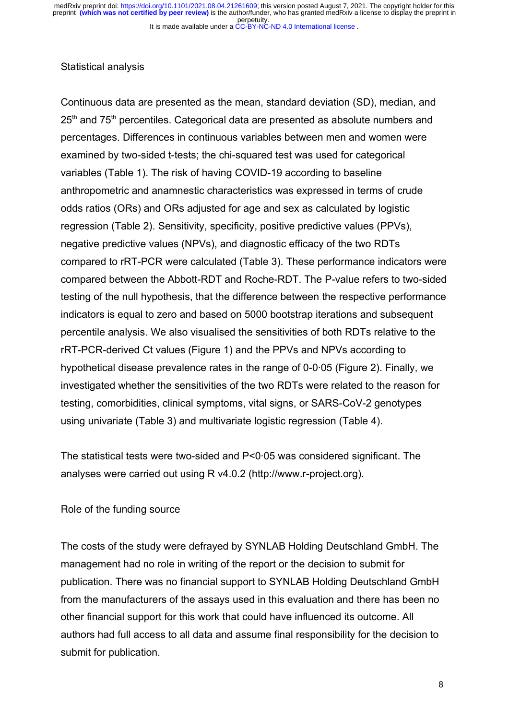#### Statistical analysis

Continuous data are presented as the mean, standard deviation (SD), median, and  $25<sup>th</sup>$  and  $75<sup>th</sup>$  percentiles. Categorical data are presented as absolute numbers and percentages. Differences in continuous variables between men and women were examined by two-sided t-tests; the chi-squared test was used for categorical variables (Table 1). The risk of having COVID-19 according to baseline anthropometric and anamnestic characteristics was expressed in terms of crude odds ratios (ORs) and ORs adjusted for age and sex as calculated by logistic regression (Table 2). Sensitivity, specificity, positive predictive values (PPVs), negative predictive values (NPVs), and diagnostic efficacy of the two RDTs compared to rRT-PCR were calculated (Table 3). These performance indicators were compared between the Abbott-RDT and Roche-RDT. The P-value refers to two-sided testing of the null hypothesis, that the difference between the respective performance indicators is equal to zero and based on 5000 bootstrap iterations and subsequent percentile analysis. We also visualised the sensitivities of both RDTs relative to the rRT-PCR-derived Ct values (Figure 1) and the PPVs and NPVs according to hypothetical disease prevalence rates in the range of 0-0·05 (Figure 2). Finally, we investigated whether the sensitivities of the two RDTs were related to the reason for testing, comorbidities, clinical symptoms, vital signs, or SARS-CoV-2 genotypes using univariate (Table 3) and multivariate logistic regression (Table 4).

The statistical tests were two-sided and P<0·05 was considered significant. The analyses were carried out using R v4.0.2 (http://www.r-project.org).

Role of the funding source

The costs of the study were defrayed by SYNLAB Holding Deutschland GmbH. The management had no role in writing of the report or the decision to submit for publication. There was no financial support to SYNLAB Holding Deutschland GmbH from the manufacturers of the assays used in this evaluation and there has been no other financial support for this work that could have influenced its outcome. All authors had full access to all data and assume final responsibility for the decision to submit for publication.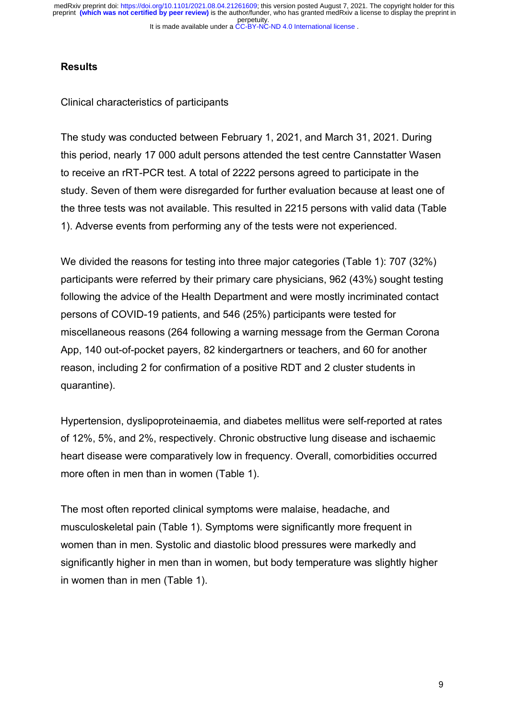## **Results**

#### Clinical characteristics of participants

The study was conducted between February 1, 2021, and March 31, 2021. During this period, nearly 17 000 adult persons attended the test centre Cannstatter Wasen to receive an rRT-PCR test. A total of 2222 persons agreed to participate in the study. Seven of them were disregarded for further evaluation because at least one of the three tests was not available. This resulted in 2215 persons with valid data (Table 1). Adverse events from performing any of the tests were not experienced.

We divided the reasons for testing into three major categories (Table 1): 707 (32%) participants were referred by their primary care physicians, 962 (43%) sought testing following the advice of the Health Department and were mostly incriminated contact persons of COVID-19 patients, and 546 (25%) participants were tested for miscellaneous reasons (264 following a warning message from the German Corona App, 140 out-of-pocket payers, 82 kindergartners or teachers, and 60 for another reason, including 2 for confirmation of a positive RDT and 2 cluster students in quarantine).

Hypertension, dyslipoproteinaemia, and diabetes mellitus were self-reported at rates of 12%, 5%, and 2%, respectively. Chronic obstructive lung disease and ischaemic heart disease were comparatively low in frequency. Overall, comorbidities occurred more often in men than in women (Table 1).

The most often reported clinical symptoms were malaise, headache, and musculoskeletal pain (Table 1). Symptoms were significantly more frequent in women than in men. Systolic and diastolic blood pressures were markedly and significantly higher in men than in women, but body temperature was slightly higher in women than in men (Table 1).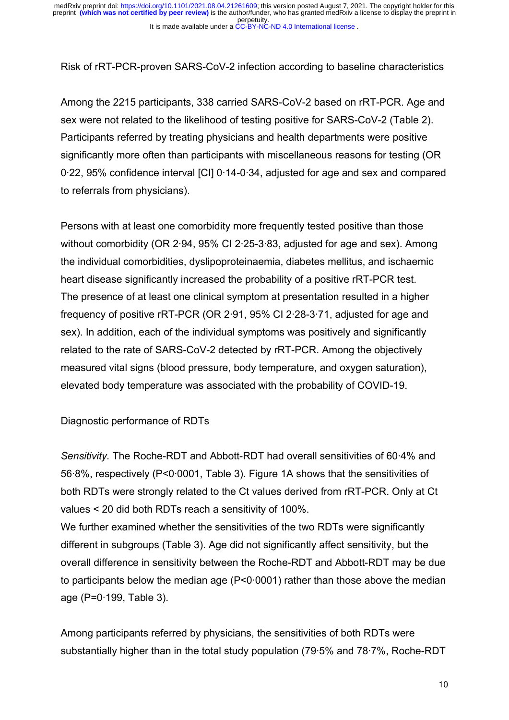Risk of rRT-PCR-proven SARS-CoV-2 infection according to baseline characteristics

Among the 2215 participants, 338 carried SARS-CoV-2 based on rRT-PCR. Age and sex were not related to the likelihood of testing positive for SARS-CoV-2 (Table 2). Participants referred by treating physicians and health departments were positive significantly more often than participants with miscellaneous reasons for testing (OR 0·22, 95% confidence interval [CI] 0·14-0·34, adjusted for age and sex and compared to referrals from physicians).

Persons with at least one comorbidity more frequently tested positive than those without comorbidity (OR 2·94, 95% CI 2·25-3·83, adjusted for age and sex). Among the individual comorbidities, dyslipoproteinaemia, diabetes mellitus, and ischaemic heart disease significantly increased the probability of a positive rRT-PCR test. The presence of at least one clinical symptom at presentation resulted in a higher frequency of positive rRT-PCR (OR 2·91, 95% CI 2·28-3·71, adjusted for age and sex). In addition, each of the individual symptoms was positively and significantly related to the rate of SARS-CoV-2 detected by rRT-PCR. Among the objectively measured vital signs (blood pressure, body temperature, and oxygen saturation), elevated body temperature was associated with the probability of COVID-19.

Diagnostic performance of RDTs

*Sensitivity.* The Roche-RDT and Abbott-RDT had overall sensitivities of 60·4% and 56·8%, respectively (P<0·0001, Table 3). Figure 1A shows that the sensitivities of both RDTs were strongly related to the Ct values derived from rRT-PCR. Only at Ct values < 20 did both RDTs reach a sensitivity of 100%.

We further examined whether the sensitivities of the two RDTs were significantly different in subgroups (Table 3). Age did not significantly affect sensitivity, but the overall difference in sensitivity between the Roche-RDT and Abbott-RDT may be due to participants below the median age (P<0·0001) rather than those above the median age (P=0·199, Table 3).

Among participants referred by physicians, the sensitivities of both RDTs were substantially higher than in the total study population (79·5% and 78·7%, Roche-RDT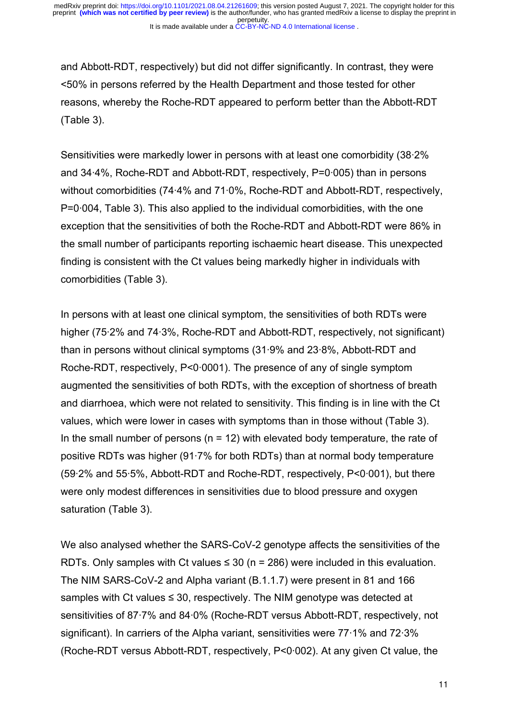and Abbott-RDT, respectively) but did not differ significantly. In contrast, they were <50% in persons referred by the Health Department and those tested for other reasons, whereby the Roche-RDT appeared to perform better than the Abbott-RDT (Table 3).

Sensitivities were markedly lower in persons with at least one comorbidity (38·2% and 34·4%, Roche-RDT and Abbott-RDT, respectively, P=0·005) than in persons without comorbidities (74·4% and 71·0%, Roche-RDT and Abbott-RDT, respectively,  $P=0.004$ , Table 3). This also applied to the individual comorbidities, with the one exception that the sensitivities of both the Roche-RDT and Abbott-RDT were 86% in the small number of participants reporting ischaemic heart disease. This unexpected finding is consistent with the Ct values being markedly higher in individuals with comorbidities (Table 3).

In persons with at least one clinical symptom, the sensitivities of both RDTs were higher (75.2% and 74.3%, Roche-RDT and Abbott-RDT, respectively, not significant) than in persons without clinical symptoms (31·9% and 23·8%, Abbott-RDT and Roche-RDT, respectively, P<0·0001). The presence of any of single symptom augmented the sensitivities of both RDTs, with the exception of shortness of breath and diarrhoea, which were not related to sensitivity. This finding is in line with the Ct values, which were lower in cases with symptoms than in those without (Table 3). In the small number of persons ( $n = 12$ ) with elevated body temperature, the rate of positive RDTs was higher (91·7% for both RDTs) than at normal body temperature (59·2% and 55·5%, Abbott-RDT and Roche-RDT, respectively, P<0·001), but there were only modest differences in sensitivities due to blood pressure and oxygen saturation (Table 3).

We also analysed whether the SARS-CoV-2 genotype affects the sensitivities of the RDTs. Only samples with Ct values  $\leq$  30 (n = 286) were included in this evaluation. The NIM SARS-CoV-2 and Alpha variant (B.1.1.7) were present in 81 and 166 samples with Ct values ≤ 30, respectively. The NIM genotype was detected at sensitivities of 87·7% and 84·0% (Roche-RDT versus Abbott-RDT, respectively, not significant). In carriers of the Alpha variant, sensitivities were 77·1% and 72·3% (Roche-RDT versus Abbott-RDT, respectively, P<0·002). At any given Ct value, the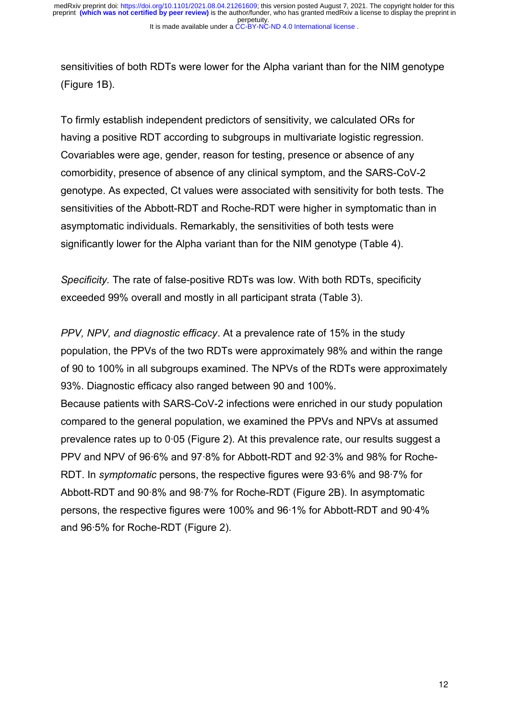sensitivities of both RDTs were lower for the Alpha variant than for the NIM genotype (Figure 1B).

To firmly establish independent predictors of sensitivity, we calculated ORs for having a positive RDT according to subgroups in multivariate logistic regression. Covariables were age, gender, reason for testing, presence or absence of any comorbidity, presence of absence of any clinical symptom, and the SARS-CoV-2 genotype. As expected, Ct values were associated with sensitivity for both tests. The sensitivities of the Abbott-RDT and Roche-RDT were higher in symptomatic than in asymptomatic individuals. Remarkably, the sensitivities of both tests were significantly lower for the Alpha variant than for the NIM genotype (Table 4).

*Specificity.* The rate of false-positive RDTs was low. With both RDTs, specificity exceeded 99% overall and mostly in all participant strata (Table 3).

*PPV, NPV, and diagnostic efficacy*. At a prevalence rate of 15% in the study population, the PPVs of the two RDTs were approximately 98% and within the range of 90 to 100% in all subgroups examined. The NPVs of the RDTs were approximately 93%. Diagnostic efficacy also ranged between 90 and 100%. Because patients with SARS-CoV-2 infections were enriched in our study population compared to the general population, we examined the PPVs and NPVs at assumed prevalence rates up to 0·05 (Figure 2). At this prevalence rate, our results suggest a PPV and NPV of 96·6% and 97·8% for Abbott-RDT and 92·3% and 98% for Roche-RDT. In *symptomatic* persons, the respective figures were 93·6% and 98·7% for Abbott-RDT and 90·8% and 98·7% for Roche-RDT (Figure 2B). In asymptomatic persons, the respective figures were 100% and 96·1% for Abbott-RDT and 90·4% and 96·5% for Roche-RDT (Figure 2).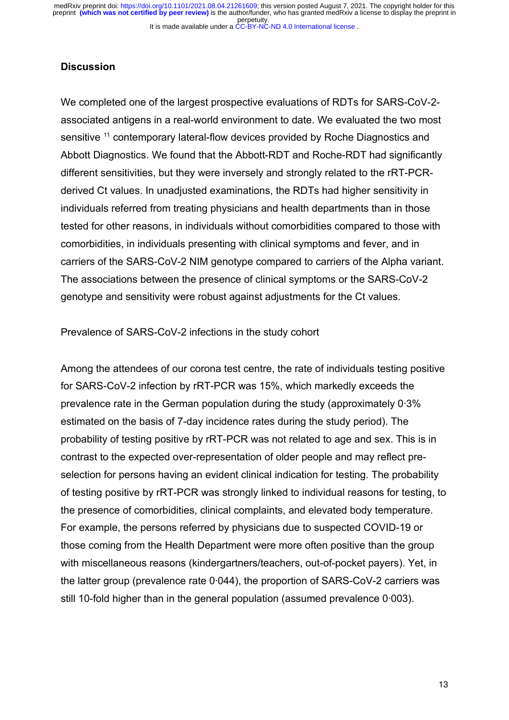#### **Discussion**

We completed one of the largest prospective evaluations of RDTs for SARS-CoV-2 associated antigens in a real-world environment to date. We evaluated the two most sensitive <sup>11</sup> contemporary lateral-flow devices provided by Roche Diagnostics and Abbott Diagnostics. We found that the Abbott-RDT and Roche-RDT had significantly different sensitivities, but they were inversely and strongly related to the rRT-PCRderived Ct values. In unadjusted examinations, the RDTs had higher sensitivity in individuals referred from treating physicians and health departments than in those tested for other reasons, in individuals without comorbidities compared to those with comorbidities, in individuals presenting with clinical symptoms and fever, and in carriers of the SARS-CoV-2 NIM genotype compared to carriers of the Alpha variant. The associations between the presence of clinical symptoms or the SARS-CoV-2 genotype and sensitivity were robust against adjustments for the Ct values.

Prevalence of SARS-CoV-2 infections in the study cohort

Among the attendees of our corona test centre, the rate of individuals testing positive for SARS-CoV-2 infection by rRT-PCR was 15%, which markedly exceeds the prevalence rate in the German population during the study (approximately 0·3% estimated on the basis of 7-day incidence rates during the study period). The probability of testing positive by rRT-PCR was not related to age and sex. This is in contrast to the expected over-representation of older people and may reflect preselection for persons having an evident clinical indication for testing. The probability of testing positive by rRT-PCR was strongly linked to individual reasons for testing, to the presence of comorbidities, clinical complaints, and elevated body temperature. For example, the persons referred by physicians due to suspected COVID-19 or those coming from the Health Department were more often positive than the group with miscellaneous reasons (kindergartners/teachers, out-of-pocket payers). Yet, in the latter group (prevalence rate 0·044), the proportion of SARS-CoV-2 carriers was still 10-fold higher than in the general population (assumed prevalence 0·003).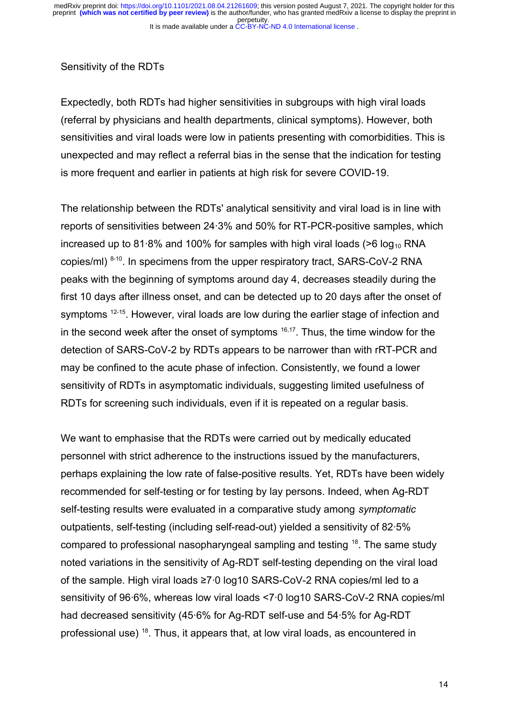#### Sensitivity of the RDTs

Expectedly, both RDTs had higher sensitivities in subgroups with high viral loads (referral by physicians and health departments, clinical symptoms). However, both sensitivities and viral loads were low in patients presenting with comorbidities. This is unexpected and may reflect a referral bias in the sense that the indication for testing is more frequent and earlier in patients at high risk for severe COVID-19.

The relationship between the RDTs' analytical sensitivity and viral load is in line with reports of sensitivities between 24·3% and 50% for RT-PCR-positive samples, which increased up to 81.8% and 100% for samples with high viral loads ( $>6$  log<sub>10</sub> RNA copies/ml) 8-10. In specimens from the upper respiratory tract, SARS-CoV-2 RNA peaks with the beginning of symptoms around day 4, decreases steadily during the first 10 days after illness onset, and can be detected up to 20 days after the onset of symptoms <sup>12-15</sup>. However, viral loads are low during the earlier stage of infection and in the second week after the onset of symptoms  $16,17$ . Thus, the time window for the detection of SARS-CoV-2 by RDTs appears to be narrower than with rRT-PCR and may be confined to the acute phase of infection. Consistently, we found a lower sensitivity of RDTs in asymptomatic individuals, suggesting limited usefulness of RDTs for screening such individuals, even if it is repeated on a regular basis.

We want to emphasise that the RDTs were carried out by medically educated personnel with strict adherence to the instructions issued by the manufacturers, perhaps explaining the low rate of false-positive results. Yet, RDTs have been widely recommended for self-testing or for testing by lay persons. Indeed, when Ag-RDT self-testing results were evaluated in a comparative study among *symptomatic* outpatients, self-testing (including self-read-out) yielded a sensitivity of 82·5% compared to professional nasopharyngeal sampling and testing  $18$ . The same study noted variations in the sensitivity of Ag-RDT self-testing depending on the viral load of the sample. High viral loads ≥7·0 log10 SARS-CoV-2 RNA copies/ml led to a sensitivity of 96·6%, whereas low viral loads <7·0 log10 SARS-CoV-2 RNA copies/ml had decreased sensitivity (45·6% for Ag-RDT self-use and 54·5% for Ag-RDT professional use) <sup>18</sup>. Thus, it appears that, at low viral loads, as encountered in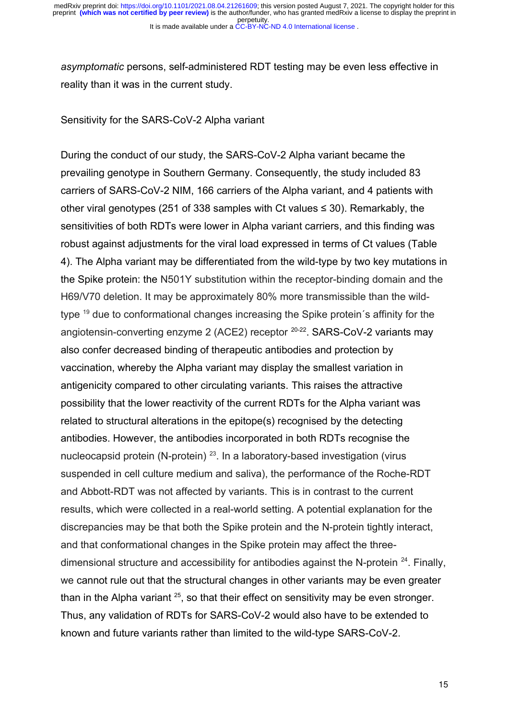*asymptomatic* persons, self-administered RDT testing may be even less effective in reality than it was in the current study.

Sensitivity for the SARS-CoV-2 Alpha variant

During the conduct of our study, the SARS-CoV-2 Alpha variant became the prevailing genotype in Southern Germany. Consequently, the study included 83 carriers of SARS-CoV-2 NIM, 166 carriers of the Alpha variant, and 4 patients with other viral genotypes (251 of 338 samples with Ct values  $\leq$  30). Remarkably, the sensitivities of both RDTs were lower in Alpha variant carriers, and this finding was robust against adjustments for the viral load expressed in terms of Ct values (Table 4). The Alpha variant may be differentiated from the wild-type by two key mutations in the Spike protein: the N501Y substitution within the receptor-binding domain and the H69/V70 deletion. It may be approximately 80% more transmissible than the wildtype <sup>19</sup> due to conformational changes increasing the Spike protein's affinity for the angiotensin-converting enzyme 2 (ACE2) receptor <sup>20-22</sup>. SARS-CoV-2 variants may also confer decreased binding of therapeutic antibodies and protection by vaccination, whereby the Alpha variant may display the smallest variation in antigenicity compared to other circulating variants. This raises the attractive possibility that the lower reactivity of the current RDTs for the Alpha variant was related to structural alterations in the epitope(s) recognised by the detecting antibodies. However, the antibodies incorporated in both RDTs recognise the nucleocapsid protein (N-protein)  $^{23}$ . In a laboratory-based investigation (virus suspended in cell culture medium and saliva), the performance of the Roche-RDT and Abbott-RDT was not affected by variants. This is in contrast to the current results, which were collected in a real-world setting. A potential explanation for the discrepancies may be that both the Spike protein and the N-protein tightly interact, and that conformational changes in the Spike protein may affect the threedimensional structure and accessibility for antibodies against the N-protein  $24$ . Finally, we cannot rule out that the structural changes in other variants may be even greater than in the Alpha variant  $25$ , so that their effect on sensitivity may be even stronger. Thus, any validation of RDTs for SARS-CoV-2 would also have to be extended to known and future variants rather than limited to the wild-type SARS-CoV-2.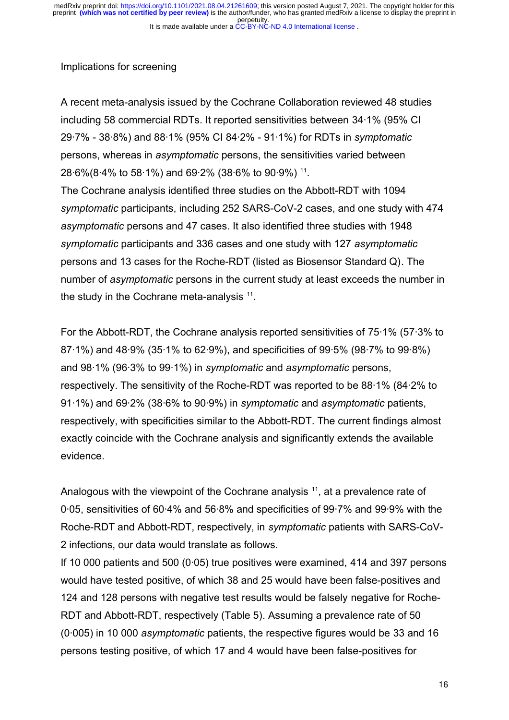#### Implications for screening

A recent meta-analysis issued by the Cochrane Collaboration reviewed 48 studies including 58 commercial RDTs. It reported sensitivities between 34·1% (95% CI 29·7% - 38·8%) and 88·1% (95% CI 84·2% - 91·1%) for RDTs in *symptomatic* persons, whereas in *asymptomatic* persons, the sensitivities varied between  $28.6\%$  (8.4% to 58.1%) and 69.2% (38.6% to 90.9%) <sup>11</sup>.

The Cochrane analysis identified three studies on the Abbott-RDT with 1094 *symptomatic* participants, including 252 SARS-CoV-2 cases, and one study with 474 *asymptomatic* persons and 47 cases. It also identified three studies with 1948 *symptomatic* participants and 336 cases and one study with 127 *asymptomatic* persons and 13 cases for the Roche-RDT (listed as Biosensor Standard Q). The number of *asymptomatic* persons in the current study at least exceeds the number in the study in the Cochrane meta-analysis  $^{11}$ .

For the Abbott-RDT, the Cochrane analysis reported sensitivities of 75·1% (57·3% to 87·1%) and 48·9% (35·1% to 62·9%), and specificities of 99·5% (98·7% to 99·8%) and 98·1% (96·3% to 99·1%) in *symptomatic* and *asymptomatic* persons, respectively. The sensitivity of the Roche-RDT was reported to be 88·1% (84·2% to 91·1%) and 69·2% (38·6% to 90·9%) in *symptomatic* and *asymptomatic* patients, respectively, with specificities similar to the Abbott-RDT. The current findings almost exactly coincide with the Cochrane analysis and significantly extends the available evidence.

Analogous with the viewpoint of the Cochrane analysis <sup>11</sup>, at a prevalence rate of 0·05, sensitivities of 60·4% and 56·8% and specificities of 99·7% and 99·9% with the Roche-RDT and Abbott-RDT, respectively, in *symptomatic* patients with SARS-CoV-2 infections, our data would translate as follows.

If 10 000 patients and 500 (0·05) true positives were examined, 414 and 397 persons would have tested positive, of which 38 and 25 would have been false-positives and 124 and 128 persons with negative test results would be falsely negative for Roche-RDT and Abbott-RDT, respectively (Table 5). Assuming a prevalence rate of 50 (0·005) in 10 000 *asymptomatic* patients, the respective figures would be 33 and 16 persons testing positive, of which 17 and 4 would have been false-positives for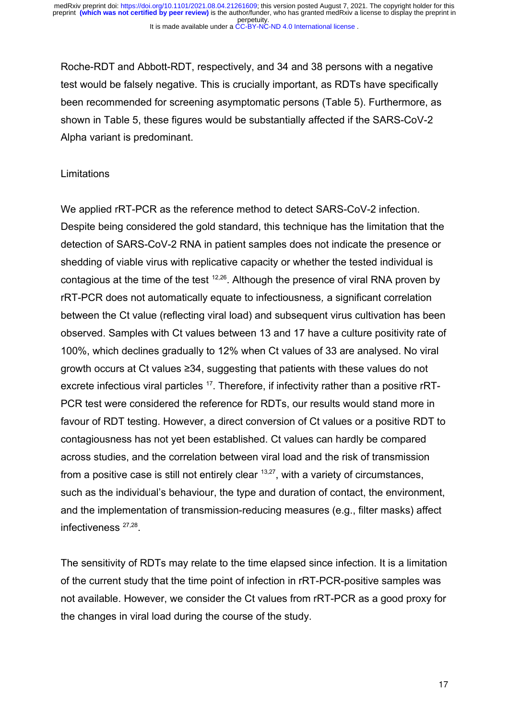Roche-RDT and Abbott-RDT, respectively, and 34 and 38 persons with a negative test would be falsely negative. This is crucially important, as RDTs have specifically been recommended for screening asymptomatic persons (Table 5). Furthermore, as shown in Table 5, these figures would be substantially affected if the SARS-CoV-2 Alpha variant is predominant.

#### **Limitations**

We applied rRT-PCR as the reference method to detect SARS-CoV-2 infection. Despite being considered the gold standard, this technique has the limitation that the detection of SARS-CoV-2 RNA in patient samples does not indicate the presence or shedding of viable virus with replicative capacity or whether the tested individual is contagious at the time of the test  $12,26$ . Although the presence of viral RNA proven by rRT-PCR does not automatically equate to infectiousness*,* a significant correlation between the Ct value (reflecting viral load) and subsequent virus cultivation has been observed. Samples with Ct values between 13 and 17 have a culture positivity rate of 100%, which declines gradually to 12% when Ct values of 33 are analysed. No viral growth occurs at Ct values ≥34, suggesting that patients with these values do not excrete infectious viral particles <sup>17</sup>. Therefore, if infectivity rather than a positive rRT-PCR test were considered the reference for RDTs, our results would stand more in favour of RDT testing. However, a direct conversion of Ct values or a positive RDT to contagiousness has not yet been established. Ct values can hardly be compared across studies, and the correlation between viral load and the risk of transmission from a positive case is still not entirely clear  $13,27$ , with a variety of circumstances, such as the individual's behaviour, the type and duration of contact, the environment, and the implementation of transmission-reducing measures (e.g., filter masks) affect infectiveness 27,28 .

The sensitivity of RDTs may relate to the time elapsed since infection. It is a limitation of the current study that the time point of infection in rRT-PCR-positive samples was not available. However, we consider the Ct values from rRT-PCR as a good proxy for the changes in viral load during the course of the study.

17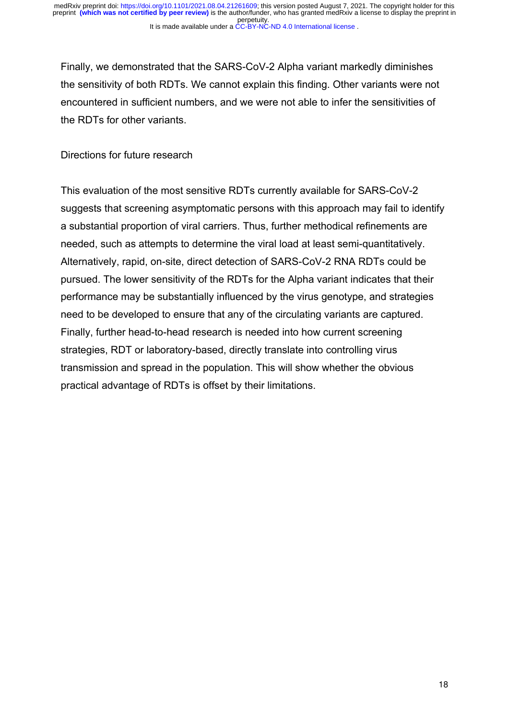Finally, we demonstrated that the SARS-CoV-2 Alpha variant markedly diminishes the sensitivity of both RDTs. We cannot explain this finding. Other variants were not encountered in sufficient numbers, and we were not able to infer the sensitivities of the RDTs for other variants.

Directions for future research

This evaluation of the most sensitive RDTs currently available for SARS-CoV-2 suggests that screening asymptomatic persons with this approach may fail to identify a substantial proportion of viral carriers. Thus, further methodical refinements are needed, such as attempts to determine the viral load at least semi-quantitatively. Alternatively, rapid, on-site, direct detection of SARS-CoV-2 RNA RDTs could be pursued. The lower sensitivity of the RDTs for the Alpha variant indicates that their performance may be substantially influenced by the virus genotype, and strategies need to be developed to ensure that any of the circulating variants are captured. Finally, further head-to-head research is needed into how current screening strategies, RDT or laboratory-based, directly translate into controlling virus transmission and spread in the population. This will show whether the obvious practical advantage of RDTs is offset by their limitations.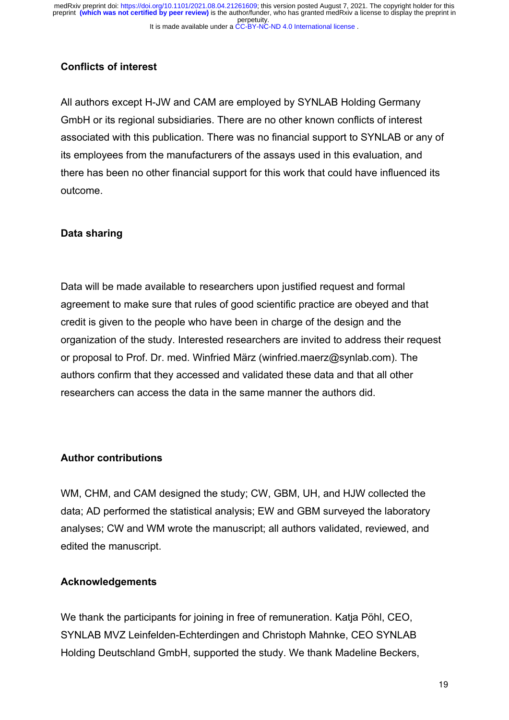## **Conflicts of interest**

All authors except H-JW and CAM are employed by SYNLAB Holding Germany GmbH or its regional subsidiaries. There are no other known conflicts of interest associated with this publication. There was no financial support to SYNLAB or any of its employees from the manufacturers of the assays used in this evaluation, and there has been no other financial support for this work that could have influenced its outcome.

## **Data sharing**

Data will be made available to researchers upon justified request and formal agreement to make sure that rules of good scientific practice are obeyed and that credit is given to the people who have been in charge of the design and the organization of the study. Interested researchers are invited to address their request or proposal to Prof. Dr. med. Winfried März (winfried.maerz@synlab.com). The authors confirm that they accessed and validated these data and that all other researchers can access the data in the same manner the authors did.

#### **Author contributions**

WM, CHM, and CAM designed the study; CW, GBM, UH, and HJW collected the data; AD performed the statistical analysis; EW and GBM surveyed the laboratory analyses; CW and WM wrote the manuscript; all authors validated, reviewed, and edited the manuscript.

#### **Acknowledgements**

We thank the participants for joining in free of remuneration. Katia Pöhl, CEO, SYNLAB MVZ Leinfelden-Echterdingen and Christoph Mahnke, CEO SYNLAB Holding Deutschland GmbH, supported the study. We thank Madeline Beckers,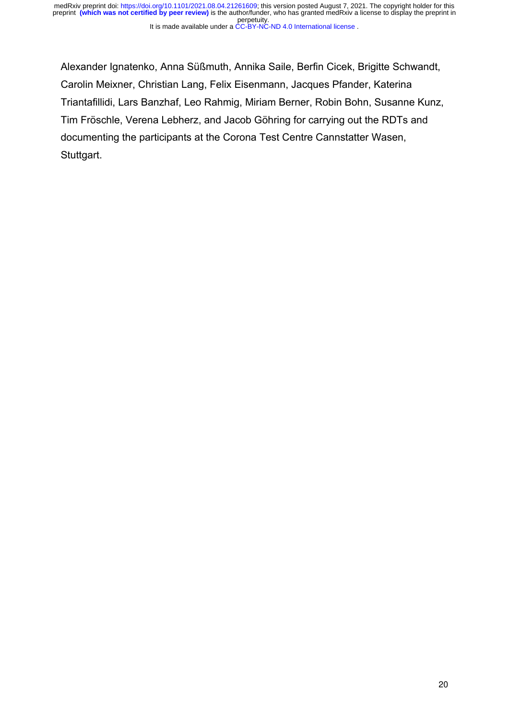Alexander Ignatenko, Anna Süßmuth, Annika Saile, Berfin Cicek, Brigitte Schwandt, Carolin Meixner, Christian Lang, Felix Eisenmann, Jacques Pfander, Katerina Triantafillidi, Lars Banzhaf, Leo Rahmig, Miriam Berner, Robin Bohn, Susanne Kunz, Tim Fröschle, Verena Lebherz, and Jacob Göhring for carrying out the RDTs and documenting the participants at the Corona Test Centre Cannstatter Wasen, Stuttgart.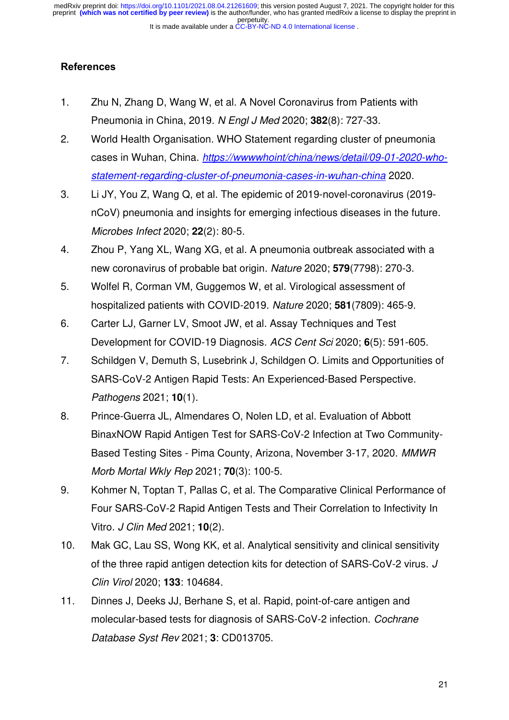## **References**

- 1. Zhu N, Zhang D, Wang W, et al. A Novel Coronavirus from Patients with Pneumonia in China, 2019. *N Engl J Med* 2020; **382**(8): 727-33.
- 2. World Health Organisation. WHO Statement regarding cluster of pneumonia cases in Wuhan, China. *[https://wwwwhoint/china/news/detail/09-01-2020-who](https://wwwwhoint/china/news/detail/09-01-2020-who-statement-regarding-cluster-of-pneumonia-cases-in-wuhan-china)[statement-regarding-cluster-of-pneumonia-cases-in-wuhan-china](https://wwwwhoint/china/news/detail/09-01-2020-who-statement-regarding-cluster-of-pneumonia-cases-in-wuhan-china)* 2020.
- 3. Li JY, You Z, Wang Q, et al. The epidemic of 2019-novel-coronavirus (2019 nCoV) pneumonia and insights for emerging infectious diseases in the future. *Microbes Infect* 2020; **22**(2): 80-5.
- 4. Zhou P, Yang XL, Wang XG, et al. A pneumonia outbreak associated with a new coronavirus of probable bat origin. *Nature* 2020; **579**(7798): 270-3.
- 5. Wolfel R, Corman VM, Guggemos W, et al. Virological assessment of hospitalized patients with COVID-2019. *Nature* 2020; **581**(7809): 465-9.
- 6. Carter LJ, Garner LV, Smoot JW, et al. Assay Techniques and Test Development for COVID-19 Diagnosis. *ACS Cent Sci* 2020; **6**(5): 591-605.
- 7. Schildgen V, Demuth S, Lusebrink J, Schildgen O. Limits and Opportunities of SARS-CoV-2 Antigen Rapid Tests: An Experienced-Based Perspective. *Pathogens* 2021; **10**(1).
- 8. Prince-Guerra JL, Almendares O, Nolen LD, et al. Evaluation of Abbott BinaxNOW Rapid Antigen Test for SARS-CoV-2 Infection at Two Community-Based Testing Sites - Pima County, Arizona, November 3-17, 2020. *MMWR Morb Mortal Wkly Rep* 2021; **70**(3): 100-5.
- 9. Kohmer N, Toptan T, Pallas C, et al. The Comparative Clinical Performance of Four SARS-CoV-2 Rapid Antigen Tests and Their Correlation to Infectivity In Vitro. *J Clin Med* 2021; **10**(2).
- 10. Mak GC, Lau SS, Wong KK, et al. Analytical sensitivity and clinical sensitivity of the three rapid antigen detection kits for detection of SARS-CoV-2 virus. *J Clin Virol* 2020; **133**: 104684.
- 11. Dinnes J, Deeks JJ, Berhane S, et al. Rapid, point-of-care antigen and molecular-based tests for diagnosis of SARS-CoV-2 infection. *Cochrane Database Syst Rev* 2021; **3**: CD013705.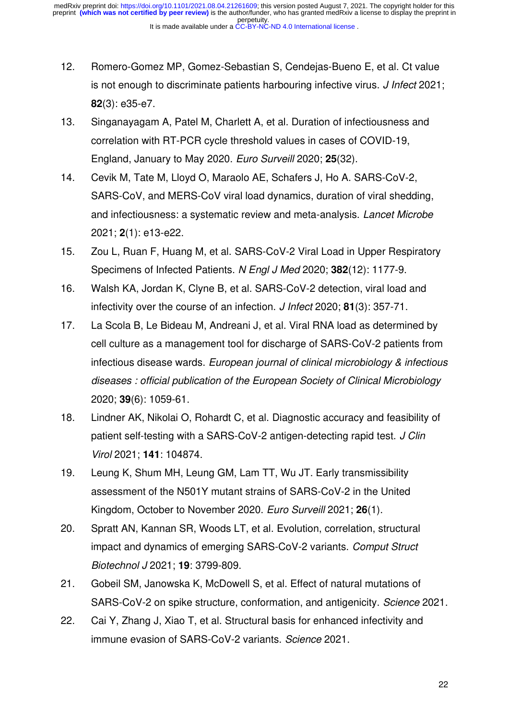- 12. Romero-Gomez MP, Gomez-Sebastian S, Cendejas-Bueno E, et al. Ct value is not enough to discriminate patients harbouring infective virus. *J Infect* 2021; **82**(3): e35-e7.
- 13. Singanayagam A, Patel M, Charlett A, et al. Duration of infectiousness and correlation with RT-PCR cycle threshold values in cases of COVID-19, England, January to May 2020. *Euro Surveill* 2020; **25**(32).
- 14. Cevik M, Tate M, Lloyd O, Maraolo AE, Schafers J, Ho A. SARS-CoV-2, SARS-CoV, and MERS-CoV viral load dynamics, duration of viral shedding, and infectiousness: a systematic review and meta-analysis. *Lancet Microbe* 2021; **2**(1): e13-e22.
- 15. Zou L, Ruan F, Huang M, et al. SARS-CoV-2 Viral Load in Upper Respiratory Specimens of Infected Patients. *N Engl J Med* 2020; **382**(12): 1177-9.
- 16. Walsh KA, Jordan K, Clyne B, et al. SARS-CoV-2 detection, viral load and infectivity over the course of an infection. *J Infect* 2020; **81**(3): 357-71.
- 17. La Scola B, Le Bideau M, Andreani J, et al. Viral RNA load as determined by cell culture as a management tool for discharge of SARS-CoV-2 patients from infectious disease wards. *European journal of clinical microbiology & infectious diseases : official publication of the European Society of Clinical Microbiology* 2020; **39**(6): 1059-61.
- 18. Lindner AK, Nikolai O, Rohardt C, et al. Diagnostic accuracy and feasibility of patient self-testing with a SARS-CoV-2 antigen-detecting rapid test. *J Clin Virol* 2021; **141**: 104874.
- 19. Leung K, Shum MH, Leung GM, Lam TT, Wu JT. Early transmissibility assessment of the N501Y mutant strains of SARS-CoV-2 in the United Kingdom, October to November 2020. *Euro Surveill* 2021; **26**(1).
- 20. Spratt AN, Kannan SR, Woods LT, et al. Evolution, correlation, structural impact and dynamics of emerging SARS-CoV-2 variants. *Comput Struct Biotechnol J* 2021; **19**: 3799-809.
- 21. Gobeil SM, Janowska K, McDowell S, et al. Effect of natural mutations of SARS-CoV-2 on spike structure, conformation, and antigenicity. *Science* 2021.
- 22. Cai Y, Zhang J, Xiao T, et al. Structural basis for enhanced infectivity and immune evasion of SARS-CoV-2 variants. *Science* 2021.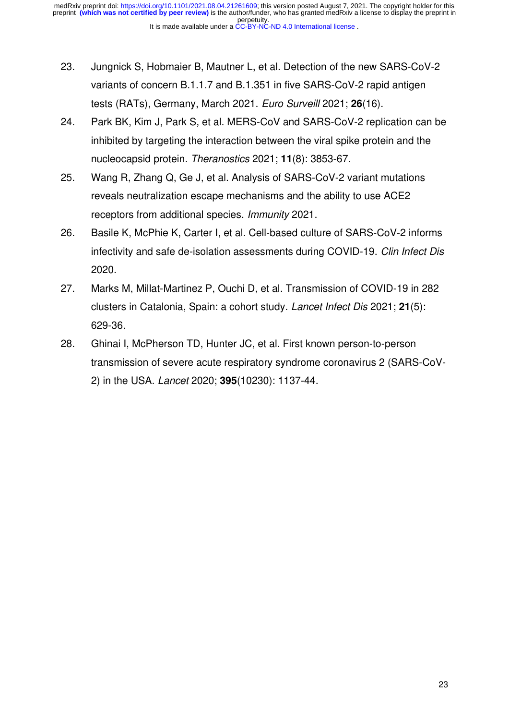- 23. Jungnick S, Hobmaier B, Mautner L, et al. Detection of the new SARS-CoV-2 variants of concern B.1.1.7 and B.1.351 in five SARS-CoV-2 rapid antigen tests (RATs), Germany, March 2021. *Euro Surveill* 2021; **26**(16).
- 24. Park BK, Kim J, Park S, et al. MERS-CoV and SARS-CoV-2 replication can be inhibited by targeting the interaction between the viral spike protein and the nucleocapsid protein. *Theranostics* 2021; **11**(8): 3853-67.
- 25. Wang R, Zhang Q, Ge J, et al. Analysis of SARS-CoV-2 variant mutations reveals neutralization escape mechanisms and the ability to use ACE2 receptors from additional species. *Immunity* 2021.
- 26. Basile K, McPhie K, Carter I, et al. Cell-based culture of SARS-CoV-2 informs infectivity and safe de-isolation assessments during COVID-19. *Clin Infect Dis* 2020.
- 27. Marks M, Millat-Martinez P, Ouchi D, et al. Transmission of COVID-19 in 282 clusters in Catalonia, Spain: a cohort study. *Lancet Infect Dis* 2021; **21**(5): 629-36.
- 28. Ghinai I, McPherson TD, Hunter JC, et al. First known person-to-person transmission of severe acute respiratory syndrome coronavirus 2 (SARS-CoV-2) in the USA. *Lancet* 2020; **395**(10230): 1137-44.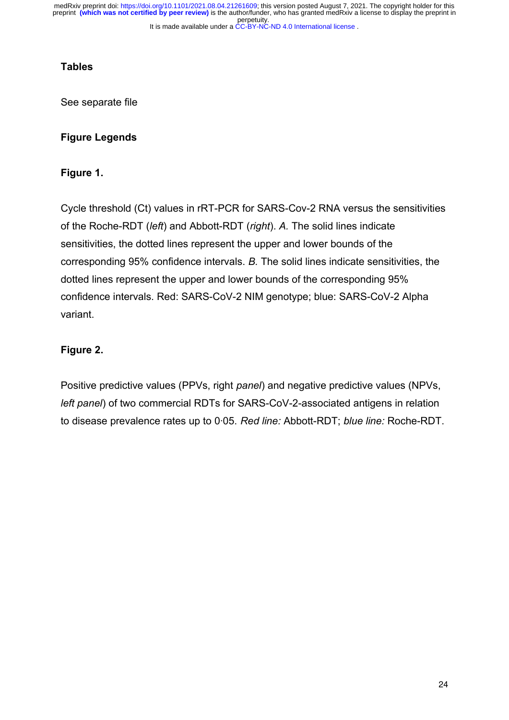## **Tables**

See separate file

## **Figure Legends**

## **Figure 1.**

Cycle threshold (Ct) values in rRT-PCR for SARS-Cov-2 RNA versus the sensitivities of the Roche-RDT (*left*) and Abbott-RDT (*right*). *A.* The solid lines indicate sensitivities, the dotted lines represent the upper and lower bounds of the corresponding 95% confidence intervals. *B.* The solid lines indicate sensitivities, the dotted lines represent the upper and lower bounds of the corresponding 95% confidence intervals. Red: SARS-CoV-2 NIM genotype; blue: SARS-CoV-2 Alpha variant.

## **Figure 2.**

Positive predictive values (PPVs, right *panel*) and negative predictive values (NPVs, *left panel*) of two commercial RDTs for SARS-CoV-2-associated antigens in relation to disease prevalence rates up to 0·05. *Red line:* Abbott-RDT; *blue line:* Roche-RDT.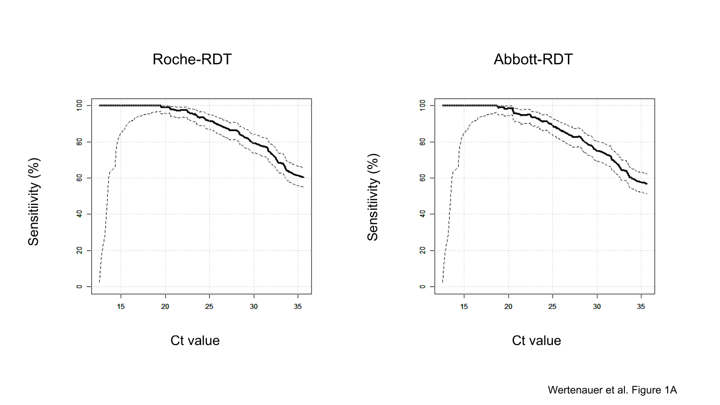





Wertenauer et al. Figure 1A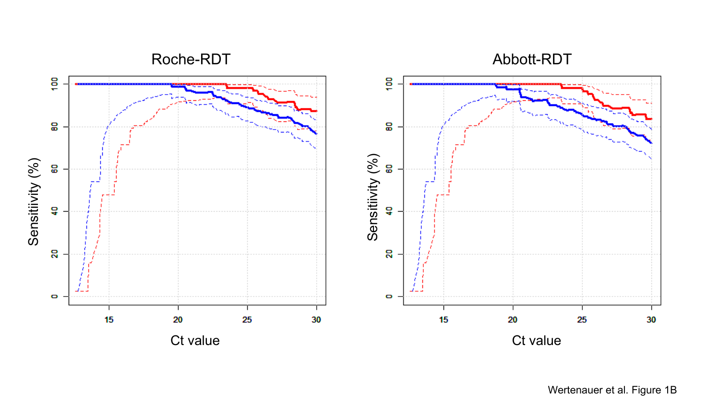

# Wertenauer et al. Figure 1B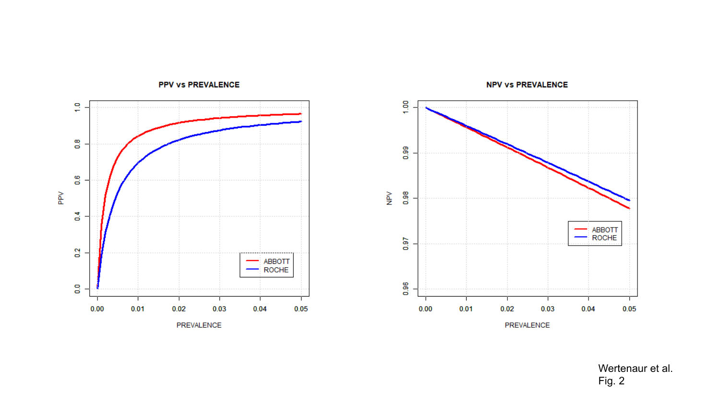

**PPV vs PREVALENCE** 



**NPV VS PREVALENCE**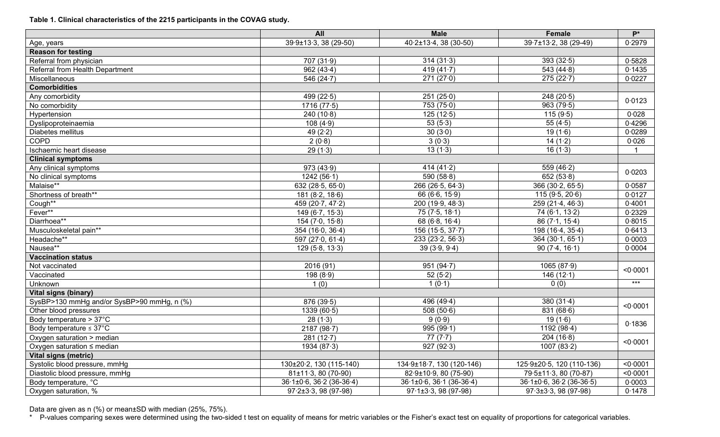**Table 1. Clinical characteristics of the 2215 participants in the COVAG study.**

|                                            | All                                 | <b>Male</b>                       | <b>Female</b>                   | $P^*$       |
|--------------------------------------------|-------------------------------------|-----------------------------------|---------------------------------|-------------|
| Age, years                                 | 39.9±13.3, 38 (29-50)               | 40.2±13.4, 38 (30-50)             | 39.7±13.2, 38 (29-49)           | 0.2979      |
| <b>Reason for testing</b>                  |                                     |                                   |                                 |             |
| Referral from physician                    | 707 (31.9)                          | 314(31.3)                         | 393(32.5)                       | 0.5828      |
| Referral from Health Department            | 962(43.4)                           | 419 $(41.7)$                      | 543 $(44.8)$                    | 0.1435      |
| Miscellaneous                              | 546 $(24.7)$                        | 271(27.0)                         | 275(22.7)                       | 0.0227      |
| <b>Comorbidities</b>                       |                                     |                                   |                                 |             |
| Any comorbidity                            | 499 (22.5)                          | 251(25.0)                         | 248 $(20.5)$                    | 0.0123      |
| No comorbidity                             | 1716(77.5)                          | 753 (75.0)                        | 963(79.5)                       |             |
| Hypertension                               | 240(10.8)                           | 125(12.5)                         | 115(9.5)                        | 0.028       |
| Dyslipoproteinaemia                        | 108 $(4.9)$                         | 53 $(5.3)$                        | 55 $(4.5)$                      | 0.4296      |
| Diabetes mellitus                          | 49 $(2.2)$                          | 30(3.0)                           | 19 $(1.6)$                      | 0.0289      |
| <b>COPD</b>                                | 2(0.8)                              | 3(0.3)                            | 14 $(1.2)$                      | 0.026       |
| Ischaemic heart disease                    | 29(1.3)                             | 13(1.3)                           | 16 $(1.3)$                      | $\mathbf 1$ |
| <b>Clinical symptoms</b>                   |                                     |                                   |                                 |             |
| Any clinical symptoms                      | 973(43.9)                           | 414 $(41.2)$                      | 559 (46.2)                      | 0.0203      |
| No clinical symptoms                       | 1242(56.1)                          | 590 $(58.8)$                      | 652 $(53.8)$                    |             |
| Malaise**                                  | 632 (28.5, 65.0)                    | 266 (26 $\cdot$ 5, 64 $\cdot$ 3)  | 366(30.2, 65.5)                 | 0.0587      |
| Shortness of breath**                      | 181 (8.2, 18.6)                     | 66 (6 $\cdot$ 6, 15 $\cdot$ 9)    | 115(9.5, 20.6)                  | 0.0127      |
| Cough**                                    | 459 (20.7, 47.2)                    | 200 (19.9, 48.3)                  | 259(21.4, 46.3)                 | 0.4001      |
| Fever**                                    | 149(6.7, 15.3)                      | 75(7.5, 18.1)                     | 74(6.1, 13.2)                   | 0.2329      |
| Diarrhoea**                                | 154(7.0, 15.8)                      | 68 (6 $\cdot$ 8, 16 $\cdot$ 4)    | 86(7.1, 15.4)                   | 0.8015      |
| Musculoskeletal pain**                     | 354 (16.0, 36.4)                    | 156 (15 $\cdot$ 5, 37 $\cdot$ 7)  | 198 (16.4, 35.4)                | 0.6413      |
| Headache**                                 | 597 (27.0, 61.4)                    | 233(23.2, 56.3)                   | 364(30.1, 65.1)                 | 0.0003      |
| Nausea**                                   | 129(5.8, 13.3)                      | 39(3.9, 9.4)                      | 90 $(7.4, 16.1)$                | 0.0004      |
| <b>Vaccination status</b>                  |                                     |                                   |                                 |             |
| Not vaccinated                             | 2016 (91)                           | 951 $(94.7)$                      | 1065(87.9)                      | < 0.0001    |
| Vaccinated                                 | 198(8.9)                            | 52 $(5.2)$                        | 146(12.1)                       |             |
| Unknown                                    | 1(0)                                | 1(0.1)                            | 0(0)                            | $***$       |
| <b>Vital signs (binary)</b>                |                                     |                                   |                                 |             |
| SysBP>130 mmHg and/or SysBP>90 mmHg, n (%) | 876 (39.5)                          | 496 (49.4)                        | 380 $(31.4)$                    | < 0.0001    |
| Other blood pressures                      | 1339(60.5)                          | 508 (50 $\cdot$ 6)                | 831(68.6)                       |             |
| Body temperature > 37°C                    | 28(1.3)                             | 9(0.9)                            | 19 $(1.6)$                      | 0.1836      |
| Body temperature $\leq 37^{\circ}$ C       | 2187 (98.7)                         | 995(99.1)                         | 1192 (98.4)                     |             |
| Oxygen saturation > median                 | 281(12.7)                           | 77(7.7)                           | 204(16.8)                       | < 0.0001    |
| Oxygen saturation ≤ median                 | 1934 (87.3)                         | 927(92.3)                         | 1007(83.2)                      |             |
| <b>Vital signs (metric)</b>                |                                     |                                   |                                 |             |
| Systolic blood pressure, mmHg              | 130±20.2, 130 (115-140)             | 134.9±18.7, 130 (120-146)         | 125.9±20.5, 120 (110-136)       | < 0.0001    |
| Diastolic blood pressure, mmHg             | 81±11.3, 80 (70-90)                 | 82.9±10.9, 80 (75-90)             | 79.5±11.3, 80 (70-87)           | < 0.0001    |
| Body temperature, °C                       | $36.1\pm0.6$ , $36.2$ ( $36-36.4$ ) | $36.1 \pm 0.6$ , $36.1$ (36-36.4) | $36.1\pm0.6$ , $36.2$ (36-36.5) | 0.0003      |
| Oxygen saturation, %                       | $97.2 \pm 3.3, 98 (97-98)$          | $97.1 \pm 3.3$ , 98 (97-98)       | $97.3 \pm 3.3$ , 98 (97-98)     | 0.1478      |

Data are given as n (%) or mean±SD with median (25%, 75%).

\*\*\* P-values comparing sexes were determined using the two-sided t test on equality of means for metric variables or the Fisher's exact test on equality of proportions for categorical variables.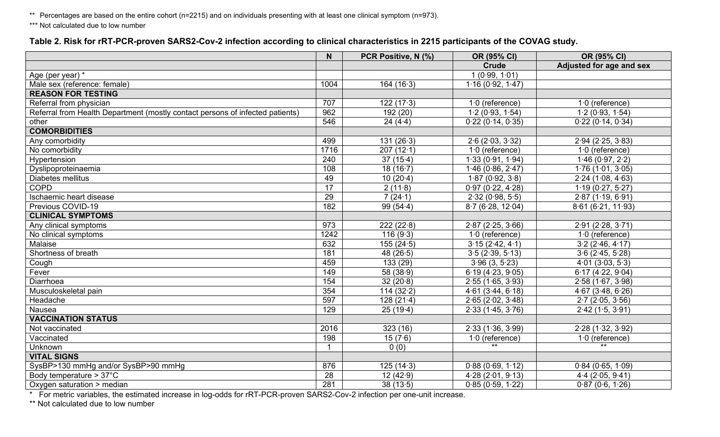\*\*\* Percentages are based on the entire cohort (n=2215) and on individuals presenting with at least one clinical symptom (n=973).

\*\*\* Not calculated due to low number

#### **Table 2. Risk for rRT-PCR-proven SARS2-Cov-2 infection according to clinical characteristics in 2215 participants of the COVAG study.**

|                                                                               | N.              | PCR Positive, N (%) | OR (95% CI)                | OR (95% CI)                |
|-------------------------------------------------------------------------------|-----------------|---------------------|----------------------------|----------------------------|
|                                                                               |                 |                     | <b>Crude</b>               | Adjusted for age and sex   |
| Age (per year) *                                                              |                 |                     | 1(0.99, 1.01)              |                            |
| Male sex (reference: female)                                                  | 1004            | 164 $(16-3)$        | 1.16(0.92, 1.47)           |                            |
| <b>REASON FOR TESTING</b>                                                     |                 |                     |                            |                            |
| Referral from physician                                                       | 707             | 122 $(17.3)$        | $1.0$ (reference)          | $1.0$ (reference)          |
| Referral from Health Department (mostly contact persons of infected patients) | 962             | 192 (20)            | 1.2(0.93, 1.54)            | 1.2(0.93, 1.54)            |
| other                                                                         | 546             | 24 $(4.4)$          | 0.22(0.14, 0.35)           | 0.22(0.14, 0.34)           |
| <b>COMORBIDITIES</b>                                                          |                 |                     |                            |                            |
| Any comorbidity                                                               | 499             | 131 $(26.3)$        | $2.6$ ( $2.03$ , $3.32$ )  | $2.94$ ( $2.25$ , $3.83$ ) |
| No comorbidity                                                                | 1716            | 207(12.1)           | $1.0$ (reference)          | $1.0$ (reference)          |
| Hypertension                                                                  | 240             | 37(15.4)            | 1.33(0.91, 1.94)           | 1.46(0.97, 2.2)            |
| Dyslipoproteinaemia                                                           | 108             | 18(16.7)            | 1.46(0.86, 2.47)           | 1.76(1.01, 3.05)           |
| Diabetes mellitus                                                             | 49              | 10 $(20.4)$         | 1.87(0.92, 3.8)            | $2.24$ (1.08, 4.63)        |
| <b>COPD</b>                                                                   | $\overline{17}$ | 2(11.8)             | 0.97(0.22, 4.28)           | 1.19(0.27, 5.27)           |
| Ischaemic heart disease                                                       | 29              | 7(24.1)             | 2.32(0.98, 5.5)            | 2.87(1.19, 6.91)           |
| Previous COVID-19                                                             | 182             | 99 $(54.4)$         | 8.7(6.28, 12.04)           | 8.61(6.21, 11.93)          |
| <b>CLINICAL SYMPTOMS</b>                                                      |                 |                     |                            |                            |
| Any clinical symptoms                                                         | 973             | 222(22.8)           | $2.87$ ( $2.25$ , $3.66$ ) | 2.91(2.28, 3.71)           |
| No clinical symptoms                                                          | 1242            | 116(9.3)            | $1.0$ (reference)          | $1.0$ (reference)          |
| Malaise                                                                       | 632             | 155 $(24.5)$        | 3.15(2.42, 4.1)            | $3.2$ (2.46, 4.17)         |
| Shortness of breath                                                           | 181             | 48 $(26.5)$         | 3.5(2.39, 5.13)            | 3.6(2.45, 5.28)            |
| Cough                                                                         | 459             | 133 (29)            | 3.96(3, 5.23)              | 4.01(3.03, 5.3)            |
| Fever                                                                         | 149             | 58 $(38.9)$         | 6.19(4.23, 9.05)           | 6.17(4.22, 9.04)           |
| Diarrhoea                                                                     | 154             | 32(20.8)            | 2.55(1.65, 3.93)           | 2.58(1.67, 3.98)           |
| Musculoskeletal pain                                                          | 354             | 114 $(32.2)$        | $4.61$ (3.44, 6.18)        | $4.67$ (3.48, 6.26)        |
| Headache                                                                      | 597             | 128 $(21.4)$        | 2.65(2.02, 3.48)           | $2.7$ ( $2.05$ , $3.56$ )  |
| Nausea                                                                        | 129             | 25(19.4)            | 2.33(1.45, 3.76)           | 2.42(1.5, 3.91)            |
| <b>VACCINATION STATUS</b>                                                     |                 |                     |                            |                            |
| Not vaccinated                                                                | 2016            | 323 (16)            | 2.33(1.36, 3.99)           | 2.28(1.32, 3.92)           |
| Vaccinated                                                                    | 198             | 15(7.6)             | $1.0$ (reference)          | $1.0$ (reference)          |
| Unknown                                                                       |                 | 0(0)                |                            |                            |
| <b>VITAL SIGNS</b>                                                            |                 |                     |                            |                            |
| SysBP>130 mmHg and/or SysBP>90 mmHg                                           | 876             | 125 $(14.3)$        | 0.88(0.69, 1.12)           | $0.84$ (0.65, 1.09)        |
| Body temperature > 37°C                                                       | 28              | 12 $(42.9)$         | $4.28$ ( $2.01$ , $9.13$ ) | 4.4(2.05, 9.41)            |
| Oxygen saturation > median                                                    | 281             | 38(13.5)            | 0.85(0.59, 1.22)           | 0.87(0.6, 1.26)            |

\* For metric variables, the estimated increase in log-odds for rRT-PCR-proven SARS2-Cov-2 infection per one-unit increase.

\*\* Not calculated due to low number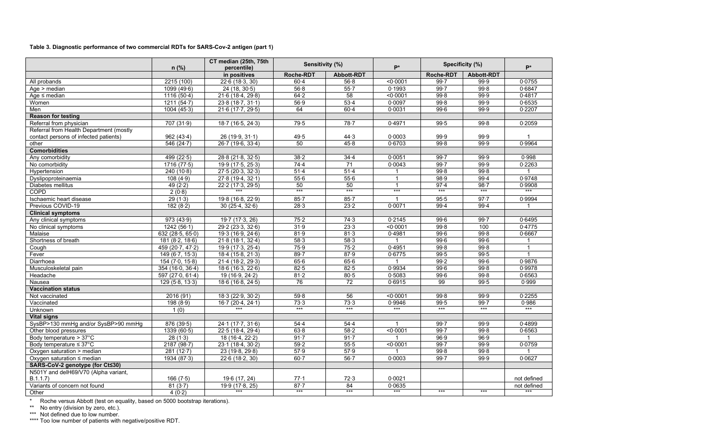#### **Table 3. Diagnostic performance of two commercial RDTs for SARS-Cov-2 antigen (part 1)**

|                                         | $n$ (%)                          | CT median (25th, 75th<br>percentile) | Sensitivity (%)  |                   | $P^*$              | Specificity (%) |            | P*             |
|-----------------------------------------|----------------------------------|--------------------------------------|------------------|-------------------|--------------------|-----------------|------------|----------------|
|                                         |                                  | in positives                         | <b>Roche-RDT</b> | Abbott-RDT        |                    | Roche-RDT       | Abbott-RDT |                |
| All probands                            | 2215(100)                        | 22.6(18.3, 30)                       | $60 - 4$         | 56.8              | < 0.0001           | 99.7            | 99.9       | 0.0755         |
| Age $>$ median                          | 1099(49.6)                       | 24(18, 30.5)                         | $56-8$           | 55.7              | 0.1993             | 99.7            | 99.8       | 0.6847         |
| Age $\leq$ median                       | 1116(50.4)                       | 21.6(18.4, 29.8)                     | 64.2             | 58                | < 0.0001           | 99.8            | 99.9       | 0.4817         |
| Women                                   | 1211(54.7)                       | 23.8(18.7, 31.1)                     | 56.9             | $53 - 4$          | 0.0097             | 99.8            | 99.9       | 0.6535         |
| Men                                     | 1004 (45 $\cdot$ 3)              | 21.6(17.7, 29.5)                     | 64               | $60 - 4$          | 0.0031             | 99.6            | 99.9       | 0.2207         |
| <b>Reason for testing</b>               |                                  |                                      |                  |                   |                    |                 |            |                |
| Referral from physician                 | 707(31.9)                        | 18.7(16.5, 24.3)                     | 79.5             | 78.7              | 0.4971             | 99.5            | 99.8       | 0.2059         |
| Referral from Health Department (mostly |                                  |                                      |                  |                   |                    |                 |            |                |
| contact persons of infected patients)   | 962(43.4)                        | 26(19.9, 31.1)                       | 49.5             | 44.3              | 0.0003             | 99.9            | 99.9       | $\mathbf{1}$   |
| other                                   | 546 $(24.7)$                     | 26.7(19.6, 33.4)                     | 50               | 45.8              | 0.6703             | 99.8            | 99.9       | 0.9964         |
| <b>Comorbidities</b>                    |                                  |                                      |                  |                   |                    |                 |            |                |
| Any comorbidity                         | 499 $(22.5)$                     | 28.8(21.8, 32.5)                     | $38 - 2$         | 34.4              | 0.0051             | $99 - 7$        | 99.9       | 0.998          |
| No comorbidity                          | 1716(77.5)                       | 19.9(17.5, 25.3)                     | 74.4             | 71                | 0.0043             | 99.7            | 99.9       | 0.2263         |
| Hypertension                            | 240(10.8)                        | 27.5(20.3, 32.3)                     | 51.4             | 51.4              | $\mathbf{1}$       | 99.8            | 99.8       | $\mathbf{1}$   |
| Dyslipoproteinaemia                     | 108(4.9)                         | 27.8(19.4, 32.1)                     | 55.6             | $\overline{55.6}$ | $\overline{1}$     | 98.9            | 99.4       | 0.9748         |
| Diabetes mellitus                       | 49 $(2.2)$                       | 22.2(17.3, 29.5)                     | 50               | 50                | $\mathbf{1}$       | 97.4            | $98 - 7$   | 0.9908         |
| COPD                                    | 2(0.8)                           |                                      | $***$            | $***$             | $***$              | $***$           | $***$      | $***$          |
| Ischaemic heart disease                 | 29(1.3)                          | 19.8(16.8, 22.9)                     | 85.7             | 85.7              | $\overline{1}$     | 95.5            | 97.7       | 0.9994         |
| Previous COVID-19                       | 182(8.2)                         | 30(25.4, 32.6)                       | 28.3             | 23.2              | 0.0071             | 99.4            | $99 - 4$   |                |
| <b>Clinical symptoms</b>                |                                  |                                      |                  |                   |                    |                 |            |                |
| Any clinical symptoms                   | 973(43.9)                        | 19.7(17.3, 26)                       | 75.2             | 74.3              | 0.2145             | 99.6            | 99.7       | 0.6495         |
| No clinical symptoms                    | 1242(56.1)                       | 29.2(23.3, 32.6)                     | 31.9             | 23.3              | $\sqrt{60001}$     | 99.8            | 100        | 0.4775         |
| Malaise                                 | 632 (28.5, 65.0)                 | 19.3(16.9, 24.6)                     | 81.9             | 81.3              | 0.4981             | 99.6            | 99.8       | 0.6667         |
| Shortness of breath                     | 181(8.2, 18.6)                   | 21.8(18.1, 32.4)                     | 58.3             | 58.3              | $\mathbf{1}$       | 99.6            | 99.6       | $\mathbf{1}$   |
| Cough                                   | $\overline{459}$ (20.7, 47.2)    | 19.9(17.3, 25.4)                     | 75.9             | 75.2              | 0.4951             | 99.8            | 99.8       | $\overline{1}$ |
| Fever                                   | 149(6.7, 15.3)                   | 18.4(15.8, 21.3)                     | 89.7             | 87.9              | 0.6775             | 99.5            | 99.5       | $\mathbf{1}$   |
| Diarrhoea                               | 154(7.0, 15.8)                   | 21.4(18.2, 29.3)                     | 65.6             | 65.6              | $\mathbf{1}$       | 99.2            | 99.6       | 0.9876         |
| Musculoskeletal pain                    | 354(16.0, 36.4)                  | 18.6(16.3, 22.6)                     | 82.5             | 82.5              | 0.9934             | 99.6            | 99.8       | 0.9978         |
| Headache                                | 597 (27 $\cdot$ 0, 61 $\cdot$ 4) | 19(16.9, 24.2)                       | 81.2             | 80.5              | 0.5083             | $99-6$          | 99.8       | 0.6563         |
| Nausea                                  | 129(5.8, 13.3)                   | 18.6(16.8, 24.5)                     | $\overline{76}$  | $\overline{72}$   | 0.6915             | $\overline{99}$ | 99.5       | 0.999          |
| <b>Vaccination status</b>               |                                  |                                      |                  |                   |                    |                 |            |                |
| Not vaccinated                          | 2016 (91)                        | 18.3(22.9, 30.2)                     | 59.8             | $\overline{56}$   | < 0.0001           | 99.8            | 99.9       | 0.2255         |
| Vaccinated                              | 198(8.9)                         | 16.7(20.4, 24.1)                     | 73.3             | 73.3              | 0.9946             | 99.5            | $99 - 7$   | 0.986          |
| Unknown                                 | 1(0)                             | $***$                                | $***$            | $***$             | $***$              | $***$           | $***$      | $***$          |
| <b>Vital signs</b>                      |                                  |                                      |                  |                   |                    |                 |            |                |
| SysBP>130 mmHg and/or SysBP>90 mmHg     | 876(39.5)                        | 24.1(17.7, 31.6)                     | 54.4             | 54.4              | $\mathbf{1}$       | 99.7            | 99.9       | 0.4899         |
| Other blood pressures                   | 1339(60.5)                       | 22.5(18.4, 29.4)                     | 63.8             | 58.2              | $\overline{50001}$ | 99.7            | 99.8       | 0.6563         |
| Body temperature > 37°C                 | 28(1.3)                          | 18(16.4, 22.2)                       | 91.7             | $91 - 7$          |                    | 96.9            | 96.9       |                |
| Body temperature $\leq 37^{\circ}$ C    | 2187(98.7)                       | 23.1(18.4, 30.2)                     | 59.2             | 55.5              | < 0.0001           | 99.7            | 99.9       | 0.0759         |
| Oxygen saturation > median              | 281(12.7)                        | 23(19.8, 29.8)                       | $57.9$           | 57.9              |                    | 99.8            | 99.8       |                |
| Oxygen saturation $\leq$ median         | 1934(87.3)                       | 22.6(18.2, 30)                       | $60 - 7$         | 56.7              | 0.0003             | 99.7            | 99.9       | 0.0627         |
| SARS-CoV-2 genotype (for Ct≤30)         |                                  |                                      |                  |                   |                    |                 |            |                |
| N501Y and delH69/V70 (Alpha variant,    |                                  |                                      |                  |                   |                    |                 |            |                |
| B.1.1.7                                 | 166 $(7.5)$                      | 19.6 (17, 24)                        | 77.1             | 72.3              | 0.0021             |                 |            | not defined    |
| Variants of concern not found           | 81(3.7)                          | 19.9(17.8, 25)                       | 87.7             | 84                | 0.0635             |                 |            | not defined    |
| Other                                   | 4(0.2)                           | $***$                                | $***$            | $***$             | $***$              | $***$           | $***$      | $***$          |

\*\*\*\* Roche versus Abbott (test on equality, based on 5000 bootstrap iterations).

\*\* No entry (division by zero, etc.).

\*\*\* Not defined due to low number.

\*\*\*\* Too low number of patients with negative/positive RDT.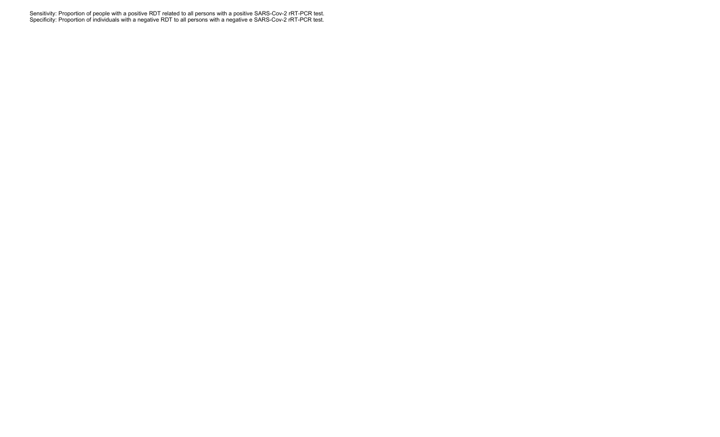Sensitivity: Proportion of people with a positive RDT related to all persons with a positive SARS-Cov-2 rRT-PCR test. Specificity: Proportion of individuals with a negative RDT to all persons with a negative e SARS-Cov-2 rRT-PCR test.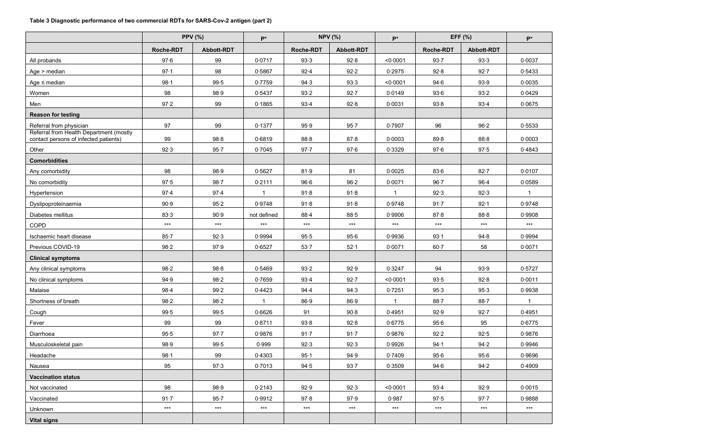#### **Table 3 Diagnostic performance of two commercial RDTs for SARS-Cov-2 antigen (part 2)**

|                                                                                  |                   | <b>PPV (%)</b>    | $P^*$             |           | <b>NPV (%)</b>    | $P^*$          |                   | EFF (%)    | $P^*$             |
|----------------------------------------------------------------------------------|-------------------|-------------------|-------------------|-----------|-------------------|----------------|-------------------|------------|-------------------|
|                                                                                  | Roche-RDT         | <b>Abbott-RDT</b> |                   | Roche-RDT | Abbott-RDT        |                | Roche-RDT         | Abbott-RDT |                   |
| All probands                                                                     | 97.6              | 99                | 0.0717            | 93.3      | 92.8              | < 0.0001       | $93 - 7$          | 93.3       | 0.0037            |
| Age $>$ median                                                                   | 97.1              | 98                | 0.5867            | $92 - 4$  | 92.2              | 0.2975         | 92.8              | $92 - 7$   | 0.5433            |
| Age $\leq$ median                                                                | 98.1              | 99.5              | 0.7759            | 94.3      | 93.3              | < 0.0001       | 94.6              | 93.9       | 0.0035            |
| Women                                                                            | 98                | 98.9              | 0.5437            | 93.2      | 92.7              | 0.0149         | 93.6              | 93.2       | 0.0429            |
| Men                                                                              | 97.2              | 99                | 0.1865            | 93.4      | 92.8              | 0.0031         | 93.8              | $93-4$     | 0.0675            |
| <b>Reason for testing</b>                                                        |                   |                   |                   |           |                   |                |                   |            |                   |
| Referral from physician                                                          | 97                | 99                | 0.1377            | 95.9      | $95-7$            | 0.7907         | 96                | $96-2$     | 0.5533            |
| Referral from Health Department (mostly<br>contact persons of infected patients) | 99                | 98.8              | 0.6819            | 88.8      | 87.8              | 0.0003         | 89.8              | 88.8       | 0.0003            |
| Other                                                                            | 92.3              | $95 - 7$          | 0.7045            | 97.7      | 97.6              | 0.3329         | 97.6              | 97.5       | 0.4843            |
| <b>Comorbidities</b>                                                             |                   |                   |                   |           |                   |                |                   |            |                   |
| Any comorbidity                                                                  | 98                | 98.9              | 0.5627            | 81.9      | 81                | 0.0025         | 83.6              | $82 - 7$   | 0.0107            |
| No comorbidity                                                                   | 97.5              | $98 - 7$          | 0.2111            | 96.6      | 96.2              | 0.0071         | $96-7$            | $96 - 4$   | 0.0589            |
| Hypertension                                                                     | 97.4              | 97.4              | $\mathbf{1}$      | 91.8      | 91.8              | $\overline{1}$ | 92.3              | 92.3       | $\mathbf{1}$      |
| Dyslipoproteinaemia                                                              | 90.9              | 95.2              | 0.9748            | 91.8      | 91.8              | 0.9748         | $91 - 7$          | 92.1       | 0.9748            |
| Diabetes mellitus                                                                | 83.3              | 90.9              | not defined       | 88.4      | 88.5              | 0.9906         | 87.8              | 88.8       | 0.9908            |
| COPD                                                                             | $***$             | $***$             | $***$             | $***$     | $\star\star\star$ | $***$          | $\star\star\star$ | $***$      | $***$             |
| Ischaemic heart disease                                                          | $85-7$            | 92.3              | 0.9994            | 95.5      | 95.6              | 0.9936         | $93 - 1$          | 94.8       | 0.9994            |
| Previous COVID-19                                                                | 98.2              | 97.9              | 0.6527            | 53.7      | 52.1              | 0.0071         | $60-7$            | 58         | 0.0071            |
| <b>Clinical symptoms</b>                                                         |                   |                   |                   |           |                   |                |                   |            |                   |
| Any clinical symptoms                                                            | 98.2              | 98.8              | 0.5469            | 93.2      | 92.9              | 0.3247         | 94                | 93.9       | 0.5727            |
| No clinical symptoms                                                             | 94.9              | 98.2              | 0.7659            | $93 - 4$  | 92.7              | < 0.0001       | 93.5              | 92.8       | 0.0011            |
| Malaise                                                                          | $98 - 4$          | 99.2              | 0.4423            | $94 - 4$  | 94.3              | 0.7251         | 95.3              | 95.3       | 0.9938            |
| Shortness of breath                                                              | 98.2              | 98.2              | $\mathbf{1}$      | 86.9      | 86.9              | $\overline{1}$ | $88 - 7$          | 88.7       | $\mathbf{1}$      |
| Cough                                                                            | 99.5              | 99.5              | 0.6626            | 91        | 90.8              | 0.4951         | 92.9              | $92 - 7$   | 0.4951            |
| Fever                                                                            | 99                | 99                | 0.8711            | 93.8      | 92.8              | 0.6775         | 95.6              | 95         | 0.6775            |
| Diarrhoea                                                                        | 95.5              | $97 - 7$          | 0.9876            | $91 - 7$  | $91 - 7$          | 0.9876         | 92.2              | 92.5       | 0.9876            |
| Musculoskeletal pain                                                             | 98.9              | 99.5              | 0.999             | 92.3      | 92.3              | 0.9926         | $94 - 1$          | 94.2       | 0.9946            |
| Headache                                                                         | 98.1              | 99                | 0.4303            | 95.1      | 94.9              | 0.7409         | 95.6              | 95.6       | 0.9696            |
| Nausea                                                                           | 95                | 97.3              | 0.7013            | 94.5      | 93.7              | 0.3509         | 94.6              | 94.2       | 0.4909            |
| <b>Vaccination status</b>                                                        |                   |                   |                   |           |                   |                |                   |            |                   |
| Not vaccinated                                                                   | 98                | 98.9              | 0.2143            | 92.9      | 92.3              | < 0.0001       | $93 - 4$          | 92.9       | 0.0015            |
| Vaccinated                                                                       | $91 - 7$          | $95-7$            | 0.9912            | 97.8      | 97.9              | 0.987          | 97.5              | 97.7       | 0.9888            |
| Unknown                                                                          | $\star\star\star$ | $\star\star\star$ | $\star\star\star$ | $***$     | $***$             | $***$          | $***$             | $***$      | $\star\star\star$ |
| <b>Vital signs</b>                                                               |                   |                   |                   |           |                   |                |                   |            |                   |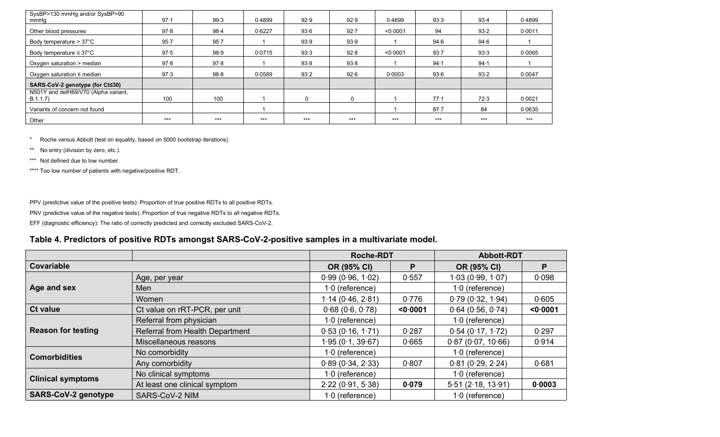| SysBP>130 mmHg and/or SysBP>90<br>mmHg          | 97.1     | 99.3     | 0.4899 | 92.9  | 92.9         | 0.4899   | 93.3     | $93 - 4$ | 0.4899 |
|-------------------------------------------------|----------|----------|--------|-------|--------------|----------|----------|----------|--------|
| Other blood pressures                           | 97.8     | $98 - 4$ | 0.6227 | 93.6  | $92 - 7$     | < 0.0001 | 94       | 93.2     | 0.0011 |
| Body temperature $> 37^{\circ}$ C               | $95 - 7$ | $95 - 7$ |        | 93.9  | 93.9         |          | 94.6     | 94.6     |        |
| Body temperature $\leq$ 37°C                    | 97.5     | 98.9     | 0.0715 | 93.3  | 92.8         | < 0.0001 | $93 - 7$ | 93.3     | 0.0065 |
| Oxygen saturation > median                      | 97.8     | 97.8     |        | 93.8  | 93.8         |          | 94.1     | 94.1     |        |
| Oxygen saturation $\leq$ median                 | 97.3     | 98.8     | 0.0589 | 93.2  | 92.6         | 0.0003   | 93.6     | 93.2     | 0.0047 |
| SARS-CoV-2 genotype (for Ct≤30)                 |          |          |        |       |              |          |          |          |        |
| N501Y and delH69/V70 (Alpha variant,<br>B.1.1.7 | 100      | 100      |        |       | $\mathbf{0}$ |          | 77.1     | 72.3     | 0.0021 |
| Variants of concern not found                   |          |          |        |       |              |          | $87 - 7$ | 84       | 0.0635 |
| Other                                           | $***$    | $***$    | $***$  | $***$ | $***$        | $***$    | $***$    | $***$    | $***$  |

\*\*\*\* Roche versus Abbott (test on equality, based on 5000 bootstrap iterations)

\*\* No entry (division by zero, etc.).

\*\*\* Not defined due to low number.

\*\*\*\* Too low number of patients with negative/positive RDT.

PPV (predictive value of the positive tests): Proportion of true positive RDTs to all positive RDTs.

PNV (predictive value of the negative tests): Proportion of true negative RDTs to all negative RDTs.

EFF (diagnostic efficiency): The ratio of correctly predicted and correctly excluded SARS-CoV-2.

#### **Table 4. Predictors of positive RDTs amongst SARS-CoV-2-positive samples in a multivariate model.**

|                                                                          |                                 | <b>Roche-RDT</b>  |                   | <b>Abbott-RDT</b>   |          |
|--------------------------------------------------------------------------|---------------------------------|-------------------|-------------------|---------------------|----------|
| Covariable                                                               |                                 | OR (95% CI)       | P                 | OR (95% CI)         | P        |
|                                                                          | Age, per year                   | 0.99(0.96, 1.02)  | 0.557             | 1.03(0.99, 1.07)    | 0.098    |
| Age and sex                                                              | Men                             | $1.0$ (reference) |                   | $1.0$ (reference)   |          |
|                                                                          | Women                           | 1.14(0.46, 2.81)  | 0.776             | 0.79(0.32, 1.94)    | 0.605    |
| <b>Ct value</b>                                                          | Ct value on rRT-PCR, per unit   | 0.68(0.6, 0.78)   | < 0.0001          | $0.64$ (0.56, 0.74) | < 0.0001 |
|                                                                          | Referral from physician         | $1.0$ (reference) |                   | $1.0$ (reference)   |          |
| <b>Reason for testing</b>                                                | Referral from Health Department | 0.53(0.16, 1.71)  | 0.287             | 0.54(0.17, 1.72)    | 0.297    |
|                                                                          | Miscellaneous reasons           | 1.95(0.1, 39.67)  | 0.665             | 0.87(0.07, 10.66)   | 0.914    |
|                                                                          | No comorbidity                  | $1.0$ (reference) |                   | $1.0$ (reference)   |          |
|                                                                          | Any comorbidity                 | 0.89(0.34, 2.33)  | 0.807             | 0.81(0.29, 2.24)    | 0.681    |
| <b>Comorbidities</b><br>No clinical symptoms<br><b>Clinical symptoms</b> | $1.0$ (reference)               |                   | $1.0$ (reference) |                     |          |
|                                                                          | At least one clinical symptom   | 2.22(0.91, 5.38)  | 0.079             | 5.51(2.18, 13.91)   | 0.0003   |
| <b>SARS-CoV-2 genotype</b>                                               | SARS-CoV-2 NIM                  | $1.0$ (reference) |                   | $1.0$ (reference)   |          |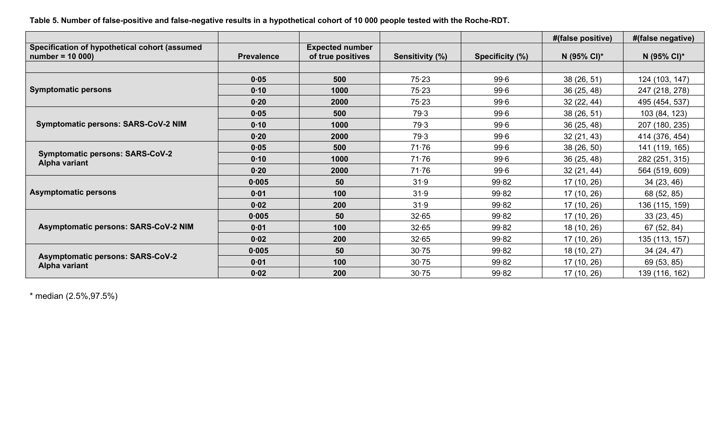**Table 5. Number of false-positive and false-negative results in a hypothetical cohort of 10 000 people tested with the Roche-RDT.**

|                                                          |                   |                        |                 |                 | #(false positive) | #(false negative)       |
|----------------------------------------------------------|-------------------|------------------------|-----------------|-----------------|-------------------|-------------------------|
| Specification of hypothetical cohort (assumed            |                   | <b>Expected number</b> |                 |                 |                   |                         |
| $number = 10000$                                         | <b>Prevalence</b> | of true positives      | Sensitivity (%) | Specificity (%) | N (95% CI)*       | N $(95\% \text{ Cl})^*$ |
|                                                          |                   |                        |                 |                 |                   |                         |
| <b>Symptomatic persons</b>                               | 0.05              | 500                    | 75.23           | 99.6            | 38 (26, 51)       | 124 (103, 147)          |
|                                                          | 0.10              | 1000                   | 75.23           | 99.6            | 36 (25, 48)       | 247 (218, 278)          |
|                                                          | 0.20              | 2000                   | 75.23           | 99.6            | 32 (22, 44)       | 495 (454, 537)          |
| <b>Symptomatic persons: SARS-CoV-2 NIM</b>               | 0.05              | 500                    | 79.3            | 99.6            | 38 (26, 51)       | 103 (84, 123)           |
|                                                          | 0.10              | 1000                   | 79.3            | 99.6            | 36 (25, 48)       | 207 (180, 235)          |
|                                                          | $0 - 20$          | 2000                   | 79.3            | 99.6            | 32(21, 43)        | 414 (376, 454)          |
|                                                          | 0.05              | 500                    | 71.76           | 99.6            | 38 (26, 50)       | 141 (119, 165)          |
| <b>Symptomatic persons: SARS-CoV-2</b><br>Alpha variant  | 0.10              | 1000                   | 71.76           | 99.6            | 36 (25, 48)       | 282 (251, 315)          |
|                                                          | 0.20              | 2000                   | 71.76           | 99.6            | 32 (21, 44)       | 564 (519, 609)          |
|                                                          | 0.005             | 50                     | 31.9            | 99.82           | 17 (10, 26)       | 34 (23, 46)             |
| <b>Asymptomatic persons</b>                              | 0.01              | 100                    | 31.9            | 99.82           | 17 (10, 26)       | 68 (52, 85)             |
|                                                          | $0 - 02$          | 200                    | 31.9            | 99.82           | 17 (10, 26)       | 136 (115, 159)          |
|                                                          | 0.005             | 50                     | 32.65           | 99.82           | 17 (10, 26)       | 33(23, 45)              |
| <b>Asymptomatic persons: SARS-CoV-2 NIM</b>              | $0 - 01$          | 100                    | 32.65           | 99.82           | 18 (10, 26)       | 67 (52, 84)             |
|                                                          | $0 - 02$          | 200                    | 32.65           | 99.82           | 17 (10, 26)       | 135 (113, 157)          |
|                                                          | 0.005             | 50                     | 30.75           | 99.82           | 18 (10, 27)       | 34(24, 47)              |
| <b>Asymptomatic persons: SARS-CoV-2</b><br>Alpha variant | $0 - 01$          | 100                    | 30.75           | 99.82           | 17 (10, 26)       | 69 (53, 85)             |
|                                                          | $0 - 02$          | 200                    | 30.75           | 99.82           | 17 (10, 26)       | 139 (116, 162)          |

\* median (2.5%,97.5%)